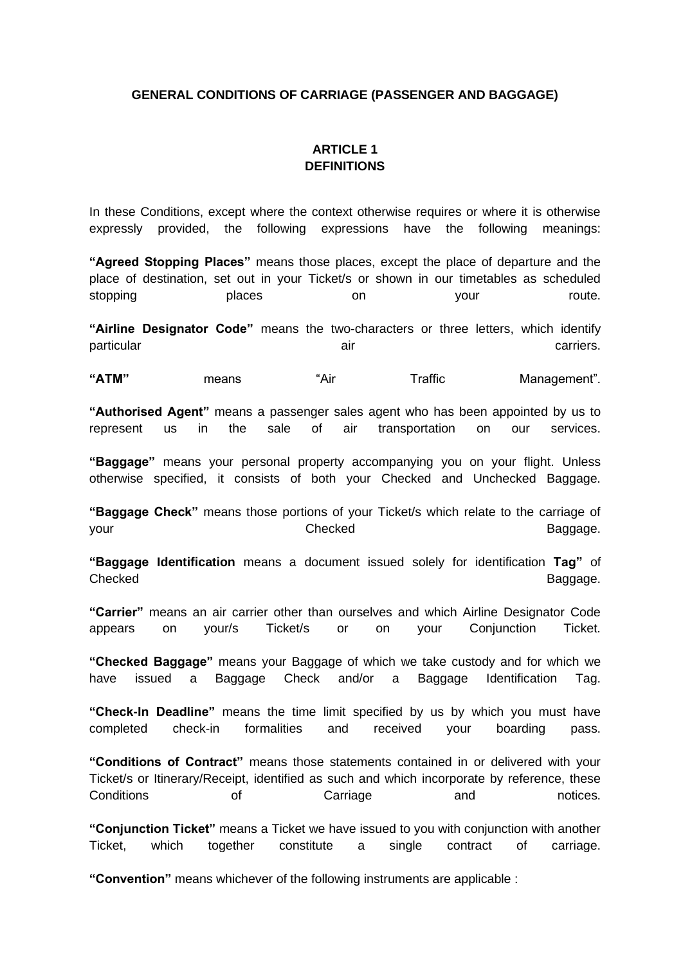### **GENERAL CONDITIONS OF CARRIAGE (PASSENGER AND BAGGAGE)**

# **ARTICLE 1 DEFINITIONS**

In these Conditions, except where the context otherwise requires or where it is otherwise expressly provided, the following expressions have the following meanings:

**"Agreed Stopping Places"** means those places, except the place of departure and the place of destination, set out in your Ticket/s or shown in our timetables as scheduled stopping blaces on your route.

**"Airline Designator Code"** means the two-characters or three letters, which identify particular air carriers.

"ATM" means "Air Traffic Management".

**"Authorised Agent"** means a passenger sales agent who has been appointed by us to represent us in the sale of air transportation on our services.

**"Baggage"** means your personal property accompanying you on your flight. Unless otherwise specified, it consists of both your Checked and Unchecked Baggage.

**"Baggage Check"** means those portions of your Ticket/s which relate to the carriage of your and the Checked Checked and the Baggage.

**"Baggage Identification** means a document issued solely for identification **Tag"** of Checked **Baggage.** 

**"Carrier"** means an air carrier other than ourselves and which Airline Designator Code appears on your/s Ticket/s or on your Conjunction Ticket.

**"Checked Baggage"** means your Baggage of which we take custody and for which we have issued a Baggage Check and/or a Baggage Identification Tag.

**"Check-In Deadline"** means the time limit specified by us by which you must have completed check-in formalities and received your boarding pass.

**"Conditions of Contract"** means those statements contained in or delivered with your Ticket/s or Itinerary/Receipt, identified as such and which incorporate by reference, these Conditions of Carriage and notices.

**"Conjunction Ticket"** means a Ticket we have issued to you with conjunction with another Ticket, which together constitute a single contract of carriage.

**"Convention"** means whichever of the following instruments are applicable :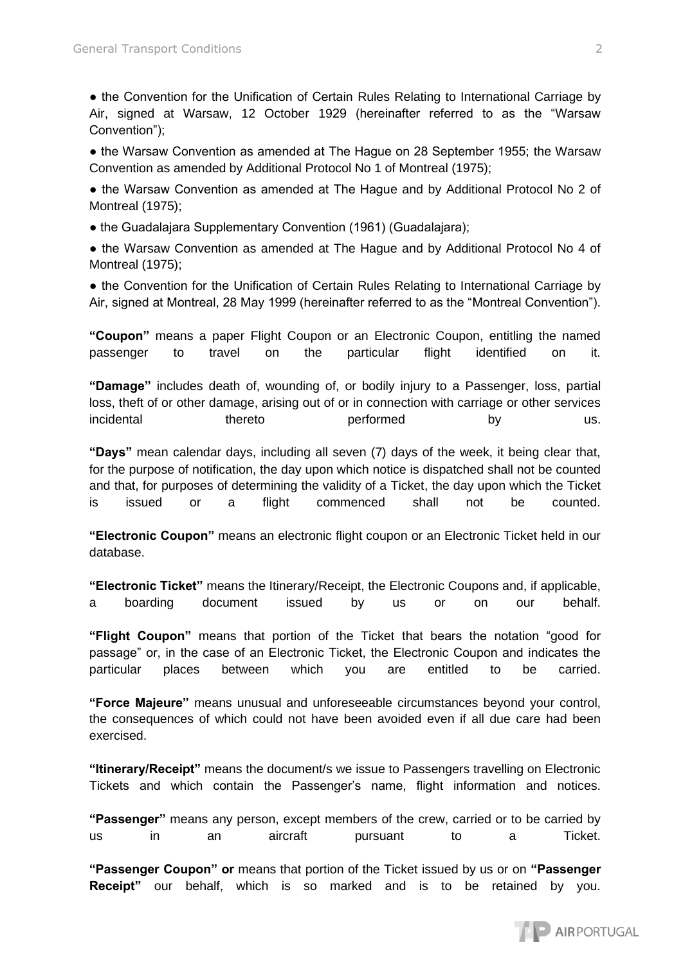● the Convention for the Unification of Certain Rules Relating to International Carriage by Air, signed at Warsaw, 12 October 1929 (hereinafter referred to as the "Warsaw Convention");

● the Warsaw Convention as amended at The Hague on 28 September 1955; the Warsaw Convention as amended by Additional Protocol No 1 of Montreal (1975);

• the Warsaw Convention as amended at The Hague and by Additional Protocol No 2 of Montreal (1975);

• the Guadalajara Supplementary Convention (1961) (Guadalajara);

● the Warsaw Convention as amended at The Hague and by Additional Protocol No 4 of Montreal (1975);

• the Convention for the Unification of Certain Rules Relating to International Carriage by Air, signed at Montreal, 28 May 1999 (hereinafter referred to as the "Montreal Convention").

**"Coupon"** means a paper Flight Coupon or an Electronic Coupon, entitling the named passenger to travel on the particular flight identified on it.

**"Damage"** includes death of, wounding of, or bodily injury to a Passenger, loss, partial loss, theft of or other damage, arising out of or in connection with carriage or other services incidental thereto performed by us.

**"Days"** mean calendar days, including all seven (7) days of the week, it being clear that, for the purpose of notification, the day upon which notice is dispatched shall not be counted and that, for purposes of determining the validity of a Ticket, the day upon which the Ticket is issued or a flight commenced shall not be counted.

**"Electronic Coupon"** means an electronic flight coupon or an Electronic Ticket held in our database.

**"Electronic Ticket"** means the Itinerary/Receipt, the Electronic Coupons and, if applicable, a boarding document issued by us or on our behalf.

**"Flight Coupon"** means that portion of the Ticket that bears the notation "good for passage" or, in the case of an Electronic Ticket, the Electronic Coupon and indicates the particular places between which you are entitled to be carried.

**"Force Majeure"** means unusual and unforeseeable circumstances beyond your control, the consequences of which could not have been avoided even if all due care had been exercised.

**"Itinerary/Receipt"** means the document/s we issue to Passengers travelling on Electronic Tickets and which contain the Passenger's name, flight information and notices.

**"Passenger"** means any person, except members of the crew, carried or to be carried by us in an aircraft pursuant to a Ticket.

**"Passenger Coupon" or** means that portion of the Ticket issued by us or on **"Passenger Receipt"** our behalf, which is so marked and is to be retained by you.

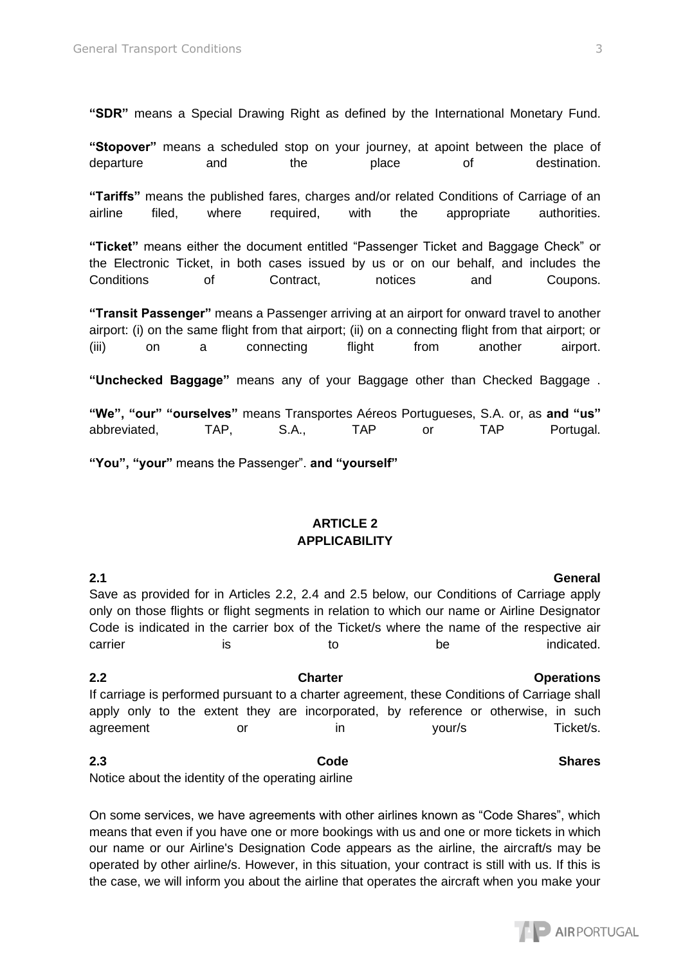**"SDR"** means a Special Drawing Right as defined by the International Monetary Fund.

**"Stopover"** means a scheduled stop on your journey, at apoint between the place of departure and the place of destination.

**"Tariffs"** means the published fares, charges and/or related Conditions of Carriage of an airline filed, where required, with the appropriate authorities.

**"Ticket"** means either the document entitled "Passenger Ticket and Baggage Check" or the Electronic Ticket, in both cases issued by us or on our behalf, and includes the Conditions of Contract, notices and Coupons.

**"Transit Passenger"** means a Passenger arriving at an airport for onward travel to another airport: (i) on the same flight from that airport; (ii) on a connecting flight from that airport; or (iii) on a connecting flight from another airport.

**"Unchecked Baggage"** means any of your Baggage other than Checked Baggage .

**"We", "our" "ourselves"** means Transportes Aéreos Portugueses, S.A. or, as **and "us"**  abbreviated, TAP, S.A., TAP or TAP Portugal.

**"You", "your"** means the Passenger". **and "yourself"** 

# **ARTICLE 2 APPLICABILITY**

**2.1 General**  Save as provided for in Articles 2.2, 2.4 and 2.5 below, our Conditions of Carriage apply only on those flights or flight segments in relation to which our name or Airline Designator Code is indicated in the carrier box of the Ticket/s where the name of the respective air carrier is is to to be indicated. **2.2 Charter Operations** 

If carriage is performed pursuant to a charter agreement, these Conditions of Carriage shall apply only to the extent they are incorporated, by reference or otherwise, in such agreement or in your/s Ticket/s.

**2.3** Code Shares **Code** Shares Notice about the identity of the operating airline

On some services, we have agreements with other airlines known as "Code Shares", which means that even if you have one or more bookings with us and one or more tickets in which our name or our Airline's Designation Code appears as the airline, the aircraft/s may be operated by other airline/s. However, in this situation, your contract is still with us. If this is the case, we will inform you about the airline that operates the aircraft when you make your

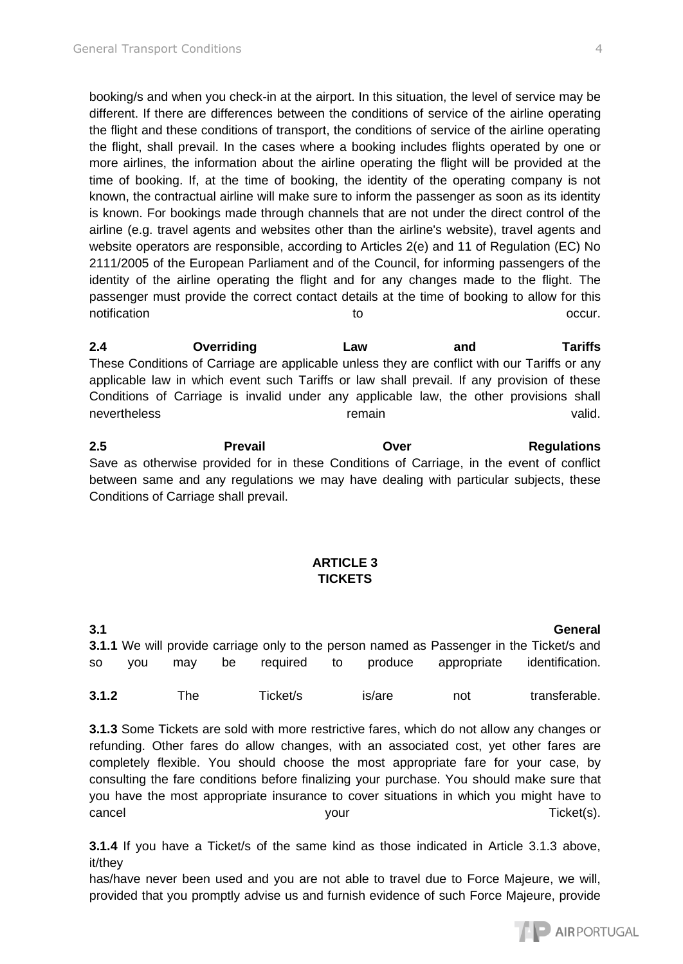booking/s and when you check-in at the airport. In this situation, the level of service may be different. If there are differences between the conditions of service of the airline operating the flight and these conditions of transport, the conditions of service of the airline operating the flight, shall prevail. In the cases where a booking includes flights operated by one or more airlines, the information about the airline operating the flight will be provided at the time of booking. If, at the time of booking, the identity of the operating company is not known, the contractual airline will make sure to inform the passenger as soon as its identity is known. For bookings made through channels that are not under the direct control of the airline (e.g. travel agents and websites other than the airline's website), travel agents and website operators are responsible, according to Articles 2(e) and 11 of Regulation (EC) No 2111/2005 of the European Parliament and of the Council, for informing passengers of the identity of the airline operating the flight and for any changes made to the flight. The passenger must provide the correct contact details at the time of booking to allow for this notification **the occur.** The occurrence of the occurrence of the occurrence of the occurrence of the occurrence

**2.4 Overriding Law and Tariffs**  These Conditions of Carriage are applicable unless they are conflict with our Tariffs or any applicable law in which event such Tariffs or law shall prevail. If any provision of these Conditions of Carriage is invalid under any applicable law, the other provisions shall nevertheless and the control of the remain control of the valid.

**2.5 Prevail Over Regulations**  Save as otherwise provided for in these Conditions of Carriage, in the event of conflict between same and any regulations we may have dealing with particular subjects, these Conditions of Carriage shall prevail.

### **ARTICLE 3 TICKETS**

**3.1 General 3.1.1** We will provide carriage only to the person named as Passenger in the Ticket/s and so you may be required to produce appropriate identification. **3.1.2** The Ticket/s is/are not transferable.

**3.1.3** Some Tickets are sold with more restrictive fares, which do not allow any changes or refunding. Other fares do allow changes, with an associated cost, yet other fares are completely flexible. You should choose the most appropriate fare for your case, by consulting the fare conditions before finalizing your purchase. You should make sure that you have the most appropriate insurance to cover situations in which you might have to cancel cancel your your cancel Ticket(s).

**3.1.4** If you have a Ticket/s of the same kind as those indicated in Article 3.1.3 above, it/they

has/have never been used and you are not able to travel due to Force Majeure, we will, provided that you promptly advise us and furnish evidence of such Force Majeure, provide

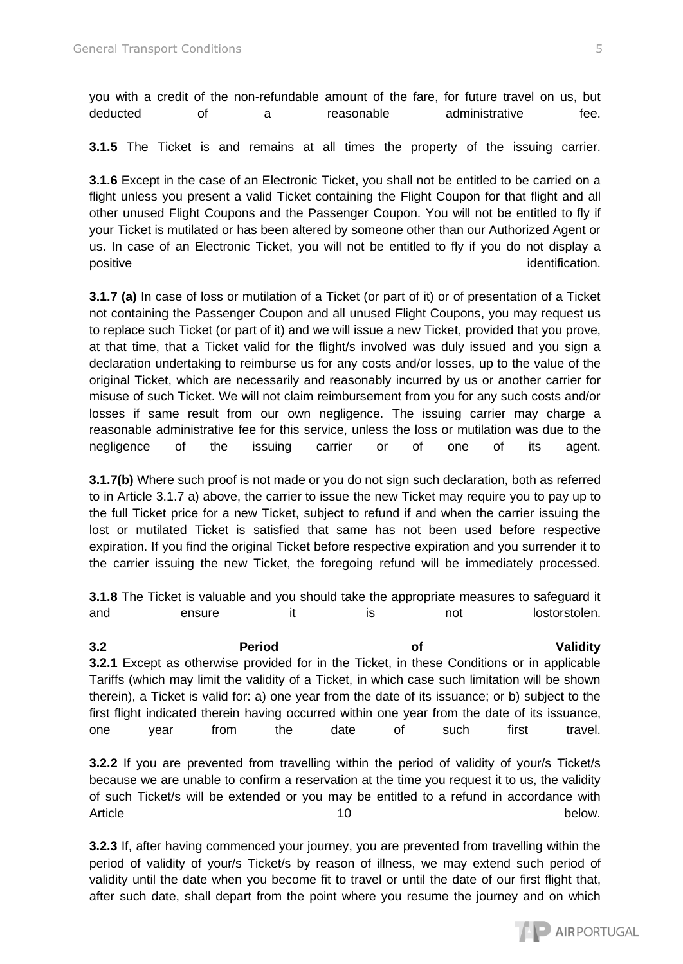you with a credit of the non-refundable amount of the fare, for future travel on us, but deducted of a reasonable administrative fee.

**3.1.5** The Ticket is and remains at all times the property of the issuing carrier.

**3.1.6** Except in the case of an Electronic Ticket, you shall not be entitled to be carried on a flight unless you present a valid Ticket containing the Flight Coupon for that flight and all other unused Flight Coupons and the Passenger Coupon. You will not be entitled to fly if your Ticket is mutilated or has been altered by someone other than our Authorized Agent or us. In case of an Electronic Ticket, you will not be entitled to fly if you do not display a positive identification.

**3.1.7 (a)** In case of loss or mutilation of a Ticket (or part of it) or of presentation of a Ticket not containing the Passenger Coupon and all unused Flight Coupons, you may request us to replace such Ticket (or part of it) and we will issue a new Ticket, provided that you prove, at that time, that a Ticket valid for the flight/s involved was duly issued and you sign a declaration undertaking to reimburse us for any costs and/or losses, up to the value of the original Ticket, which are necessarily and reasonably incurred by us or another carrier for misuse of such Ticket. We will not claim reimbursement from you for any such costs and/or losses if same result from our own negligence. The issuing carrier may charge a reasonable administrative fee for this service, unless the loss or mutilation was due to the negligence of the issuing carrier or of one of its agent.

**3.1.7(b)** Where such proof is not made or you do not sign such declaration, both as referred to in Article 3.1.7 a) above, the carrier to issue the new Ticket may require you to pay up to the full Ticket price for a new Ticket, subject to refund if and when the carrier issuing the lost or mutilated Ticket is satisfied that same has not been used before respective expiration. If you find the original Ticket before respective expiration and you surrender it to the carrier issuing the new Ticket, the foregoing refund will be immediately processed.

**3.1.8** The Ticket is valuable and you should take the appropriate measures to safeguard it and ensure it is not lostorstolen.

**3.2 Period of Validity 3.2.1** Except as otherwise provided for in the Ticket, in these Conditions or in applicable Tariffs (which may limit the validity of a Ticket, in which case such limitation will be shown therein), a Ticket is valid for: a) one year from the date of its issuance; or b) subject to the first flight indicated therein having occurred within one year from the date of its issuance, one year from the date of such first travel.

**3.2.2** If you are prevented from travelling within the period of validity of your/s Ticket/s because we are unable to confirm a reservation at the time you request it to us, the validity of such Ticket/s will be extended or you may be entitled to a refund in accordance with Article below.

**3.2.3** If, after having commenced your journey, you are prevented from travelling within the period of validity of your/s Ticket/s by reason of illness, we may extend such period of validity until the date when you become fit to travel or until the date of our first flight that, after such date, shall depart from the point where you resume the journey and on which

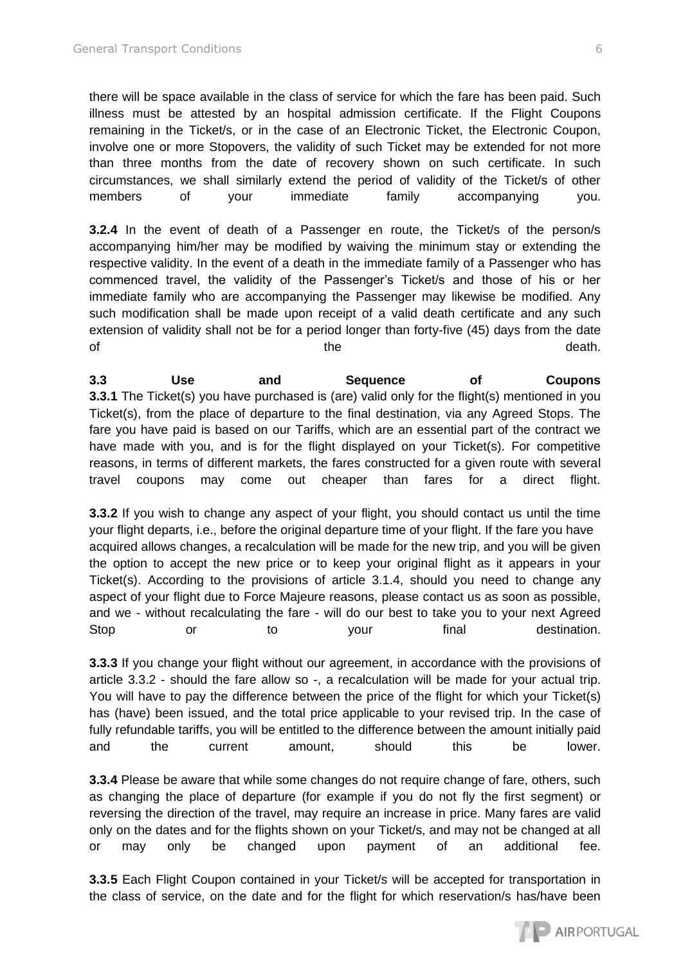there will be space available in the class of service for which the fare has been paid. Such illness must be attested by an hospital admission certificate. If the Flight Coupons remaining in the Ticket/s, or in the case of an Electronic Ticket, the Electronic Coupon, involve one or more Stopovers, the validity of such Ticket may be extended for not more than three months from the date of recovery shown on such certificate. In such circumstances, we shall similarly extend the period of validity of the Ticket/s of other members of your immediate family accompanying you.

**3.2.4** In the event of death of a Passenger en route, the Ticket/s of the person/s accompanying him/her may be modified by waiving the minimum stay or extending the respective validity. In the event of a death in the immediate family of a Passenger who has commenced travel, the validity of the Passenger's Ticket/s and those of his or her immediate family who are accompanying the Passenger may likewise be modified. Any such modification shall be made upon receipt of a valid death certificate and any such extension of validity shall not be for a period longer than forty-five (45) days from the date of the the death.

**3.3 Use and Sequence of Coupons 3.3.1** The Ticket(s) you have purchased is (are) valid only for the flight(s) mentioned in you Ticket(s), from the place of departure to the final destination, via any Agreed Stops. The fare you have paid is based on our Tariffs, which are an essential part of the contract we have made with you, and is for the flight displayed on your Ticket(s). For competitive reasons, in terms of different markets, the fares constructed for a given route with several travel coupons may come out cheaper than fares for a direct flight.

**3.3.2** If you wish to change any aspect of your flight, you should contact us until the time your flight departs, i.e., before the original departure time of your flight. If the fare you have acquired allows changes, a recalculation will be made for the new trip, and you will be given the option to accept the new price or to keep your original flight as it appears in your Ticket(s). According to the provisions of article 3.1.4, should you need to change any aspect of your flight due to Force Majeure reasons, please contact us as soon as possible, and we - without recalculating the fare - will do our best to take you to your next Agreed Stop or to your final destination.

**3.3.3** If you change your flight without our agreement, in accordance with the provisions of article 3.3.2 - should the fare allow so -, a recalculation will be made for your actual trip. You will have to pay the difference between the price of the flight for which your Ticket(s) has (have) been issued, and the total price applicable to your revised trip. In the case of fully refundable tariffs, you will be entitled to the difference between the amount initially paid and the current amount, should this be lower.

**3.3.4** Please be aware that while some changes do not require change of fare, others, such as changing the place of departure (for example if you do not fly the first segment) or reversing the direction of the travel, may require an increase in price. Many fares are valid only on the dates and for the flights shown on your Ticket/s, and may not be changed at all or may only be changed upon payment of an additional fee.

**3.3.5** Each Flight Coupon contained in your Ticket/s will be accepted for transportation in the class of service, on the date and for the flight for which reservation/s has/have been

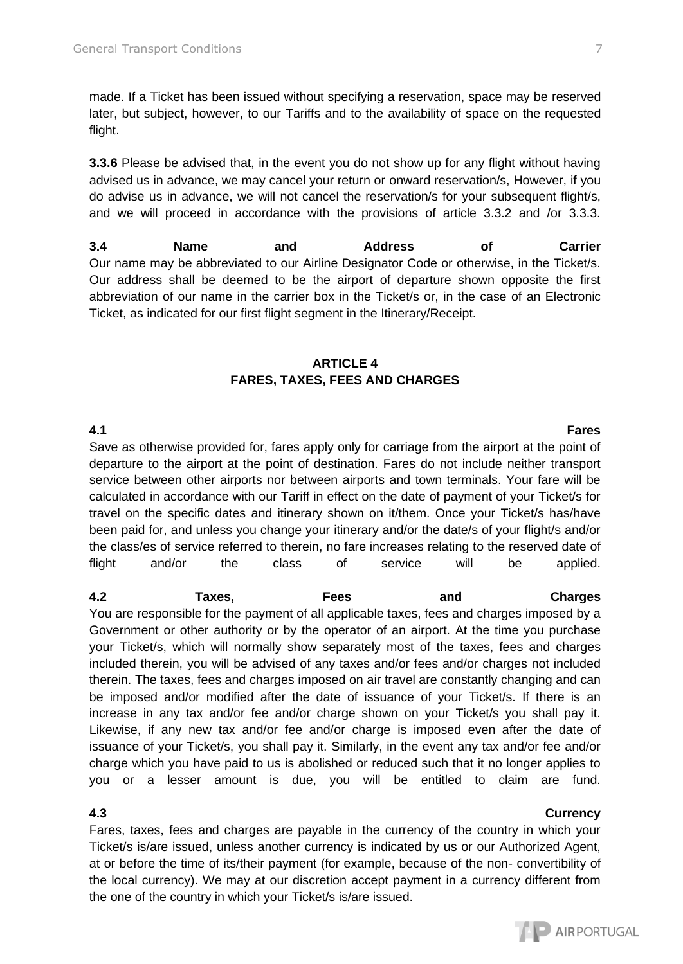made. If a Ticket has been issued without specifying a reservation, space may be reserved later, but subject, however, to our Tariffs and to the availability of space on the requested flight.

**3.3.6** Please be advised that, in the event you do not show up for any flight without having advised us in advance, we may cancel your return or onward reservation/s, However, if you do advise us in advance, we will not cancel the reservation/s for your subsequent flight/s, and we will proceed in accordance with the provisions of article 3.3.2 and /or 3.3.3.

**3.4 Name and Address of Carrier**  Our name may be abbreviated to our Airline Designator Code or otherwise, in the Ticket/s. Our address shall be deemed to be the airport of departure shown opposite the first abbreviation of our name in the carrier box in the Ticket/s or, in the case of an Electronic Ticket, as indicated for our first flight segment in the Itinerary/Receipt.

### **ARTICLE 4 FARES, TAXES, FEES AND CHARGES**

Save as otherwise provided for, fares apply only for carriage from the airport at the point of departure to the airport at the point of destination. Fares do not include neither transport service between other airports nor between airports and town terminals. Your fare will be calculated in accordance with our Tariff in effect on the date of payment of your Ticket/s for travel on the specific dates and itinerary shown on it/them. Once your Ticket/s has/have been paid for, and unless you change your itinerary and/or the date/s of your flight/s and/or the class/es of service referred to therein, no fare increases relating to the reserved date of flight and/or the class of service will be applied.

**4.2 Taxes, Fees and Charges**  You are responsible for the payment of all applicable taxes, fees and charges imposed by a Government or other authority or by the operator of an airport. At the time you purchase your Ticket/s, which will normally show separately most of the taxes, fees and charges included therein, you will be advised of any taxes and/or fees and/or charges not included therein. The taxes, fees and charges imposed on air travel are constantly changing and can be imposed and/or modified after the date of issuance of your Ticket/s. If there is an increase in any tax and/or fee and/or charge shown on your Ticket/s you shall pay it. Likewise, if any new tax and/or fee and/or charge is imposed even after the date of issuance of your Ticket/s, you shall pay it. Similarly, in the event any tax and/or fee and/or charge which you have paid to us is abolished or reduced such that it no longer applies to you or a lesser amount is due, you will be entitled to claim are fund.

Fares, taxes, fees and charges are payable in the currency of the country in which your Ticket/s is/are issued, unless another currency is indicated by us or our Authorized Agent, at or before the time of its/their payment (for example, because of the non- convertibility of the local currency). We may at our discretion accept payment in a currency different from the one of the country in which your Ticket/s is/are issued.

### **4.3 Currency**

# **4.1 Fares**

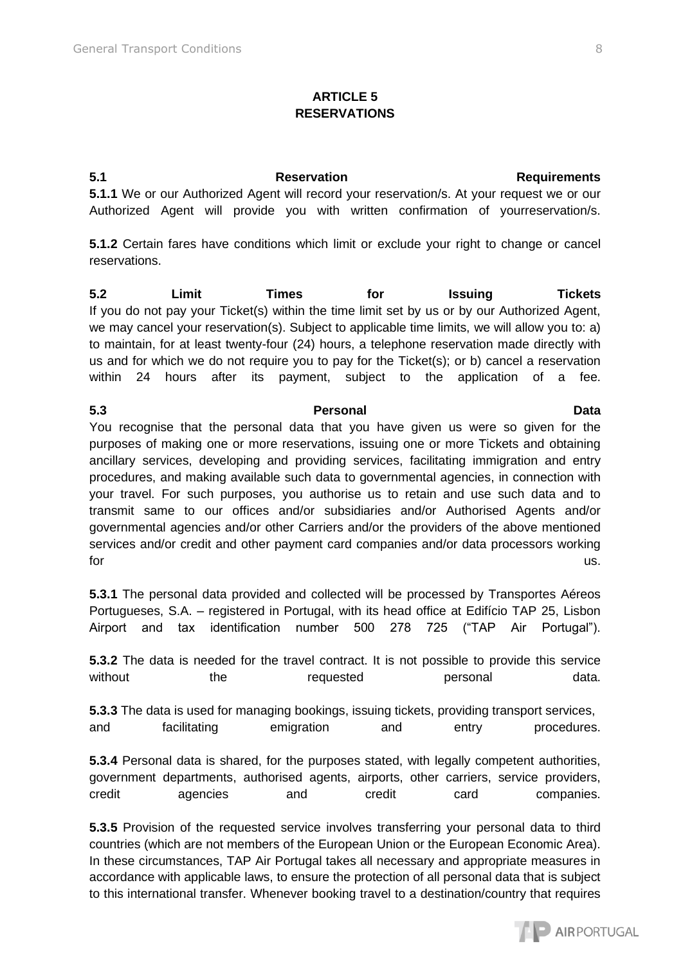### **ARTICLE 5 RESERVATIONS**

**5.1 Reservation Requirements 5.1.1** We or our Authorized Agent will record your reservation/s. At your request we or our Authorized Agent will provide you with written confirmation of yourreservation/s.

**5.1.2** Certain fares have conditions which limit or exclude your right to change or cancel reservations.

**5.2 Limit Times for Issuing Tickets**  If you do not pay your Ticket(s) within the time limit set by us or by our Authorized Agent, we may cancel your reservation(s). Subject to applicable time limits, we will allow you to: a) to maintain, for at least twenty-four (24) hours, a telephone reservation made directly with us and for which we do not require you to pay for the Ticket(s); or b) cancel a reservation within 24 hours after its payment, subject to the application of a fee.

**5.3 Personal Data**  You recognise that the personal data that you have given us were so given for the purposes of making one or more reservations, issuing one or more Tickets and obtaining ancillary services, developing and providing services, facilitating immigration and entry procedures, and making available such data to governmental agencies, in connection with your travel. For such purposes, you authorise us to retain and use such data and to transmit same to our offices and/or subsidiaries and/or Authorised Agents and/or governmental agencies and/or other Carriers and/or the providers of the above mentioned services and/or credit and other payment card companies and/or data processors working for the contract of the contract of the contract of the contract of the contract of the contract of the contract of the contract of the contract of the contract of the contract of the contract of the contract of the contra

**5.3.1** The personal data provided and collected will be processed by Transportes Aéreos Portugueses, S.A. – registered in Portugal, with its head office at Edifício TAP 25, Lisbon Airport and tax identification number 500 278 725 ("TAP Air Portugal").

**5.3.2** The data is needed for the travel contract. It is not possible to provide this service without the requested personal data.

**5.3.3** The data is used for managing bookings, issuing tickets, providing transport services, and facilitating emigration and entry procedures.

**5.3.4** Personal data is shared, for the purposes stated, with legally competent authorities, government departments, authorised agents, airports, other carriers, service providers, credit agencies and credit card companies.

**5.3.5** Provision of the requested service involves transferring your personal data to third countries (which are not members of the European Union or the European Economic Area). In these circumstances, TAP Air Portugal takes all necessary and appropriate measures in accordance with applicable laws, to ensure the protection of all personal data that is subject to this international transfer. Whenever booking travel to a destination/country that requires

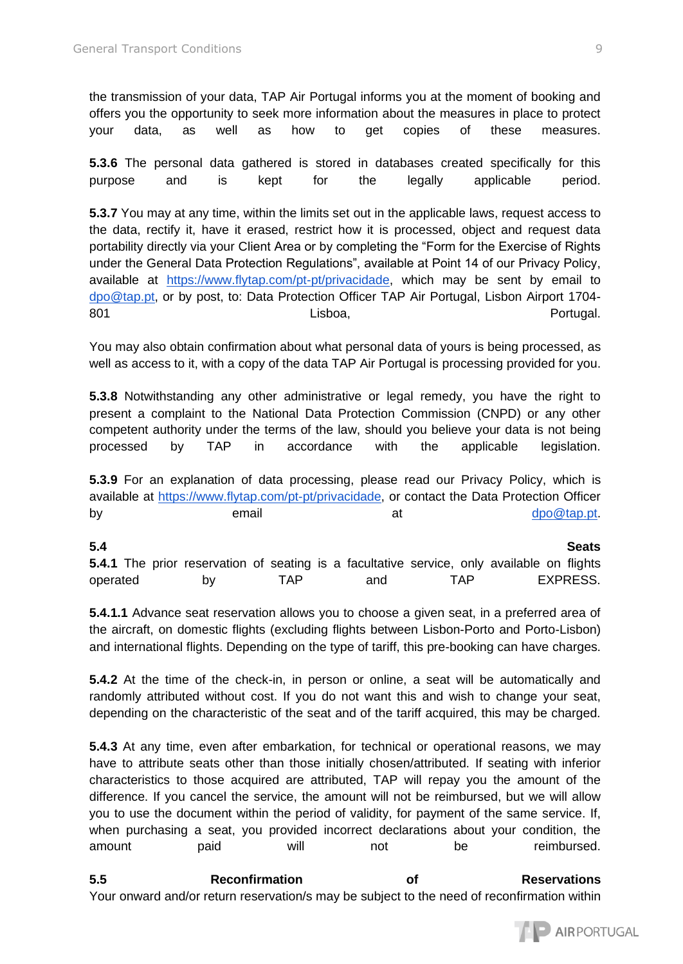the transmission of your data, TAP Air Portugal informs you at the moment of booking and offers you the opportunity to seek more information about the measures in place to protect your data, as well as how to get copies of these measures.

**5.3.6** The personal data gathered is stored in databases created specifically for this purpose and is kept for the legally applicable period.

**5.3.7** You may at any time, within the limits set out in the applicable laws, request access to the data, rectify it, have it erased, restrict how it is processed, object and request data portability directly via your Client Area or by completing the "Form for the Exercise of Rights under the General Data Protection Regulations", available at Point 14 of our Privacy Policy, available at [https://www.flytap.com/pt-pt/privacidade,](https://www.flytap.com/pt-pt/privacidade) which may be sent by email to [dpo@tap.pt,](mailto:dpo@tap.pt) or by post, to: Data Protection Officer TAP Air Portugal, Lisbon Airport 1704- 801 **Research Exercise Control** Lisboa, Controller et al. Portugal.

You may also obtain confirmation about what personal data of yours is being processed, as well as access to it, with a copy of the data TAP Air Portugal is processing provided for you.

**5.3.8** Notwithstanding any other administrative or legal remedy, you have the right to present a complaint to the National Data Protection Commission (CNPD) or any other competent authority under the terms of the law, should you believe your data is not being processed by TAP in accordance with the applicable legislation.

**5.3.9** For an explanation of data processing, please read our Privacy Policy, which is available at [https://www.flytap.com/pt-pt/privacidade,](https://www.flytap.com/pt-pt/privacidade) or contact the Data Protection Officer by email email at  $\alpha$  [dpo@tap.pt.](mailto:dpo@tap.pt)

| 5.4      |  |                                                                                                   |     |  |     |     |  | <b>Seats</b> |
|----------|--|---------------------------------------------------------------------------------------------------|-----|--|-----|-----|--|--------------|
|          |  | <b>5.4.1</b> The prior reservation of seating is a facultative service, only available on flights |     |  |     |     |  |              |
| operated |  | bv                                                                                                | TAP |  | and | TAP |  | EXPRESS.     |

**5.4.1.1** Advance seat reservation allows you to choose a given seat, in a preferred area of the aircraft, on domestic flights (excluding flights between Lisbon-Porto and Porto-Lisbon) and international flights. Depending on the type of tariff, this pre-booking can have charges.

**5.4.2** At the time of the check-in, in person or online, a seat will be automatically and randomly attributed without cost. If you do not want this and wish to change your seat, depending on the characteristic of the seat and of the tariff acquired, this may be charged.

**5.4.3** At any time, even after embarkation, for technical or operational reasons, we may have to attribute seats other than those initially chosen/attributed. If seating with inferior characteristics to those acquired are attributed, TAP will repay you the amount of the difference. If you cancel the service, the amount will not be reimbursed, but we will allow you to use the document within the period of validity, for payment of the same service. If, when purchasing a seat, you provided incorrect declarations about your condition, the amount baid will not be reimbursed.

**5.5 Reconfirmation of Reservations**  Your onward and/or return reservation/s may be subject to the need of reconfirmation within

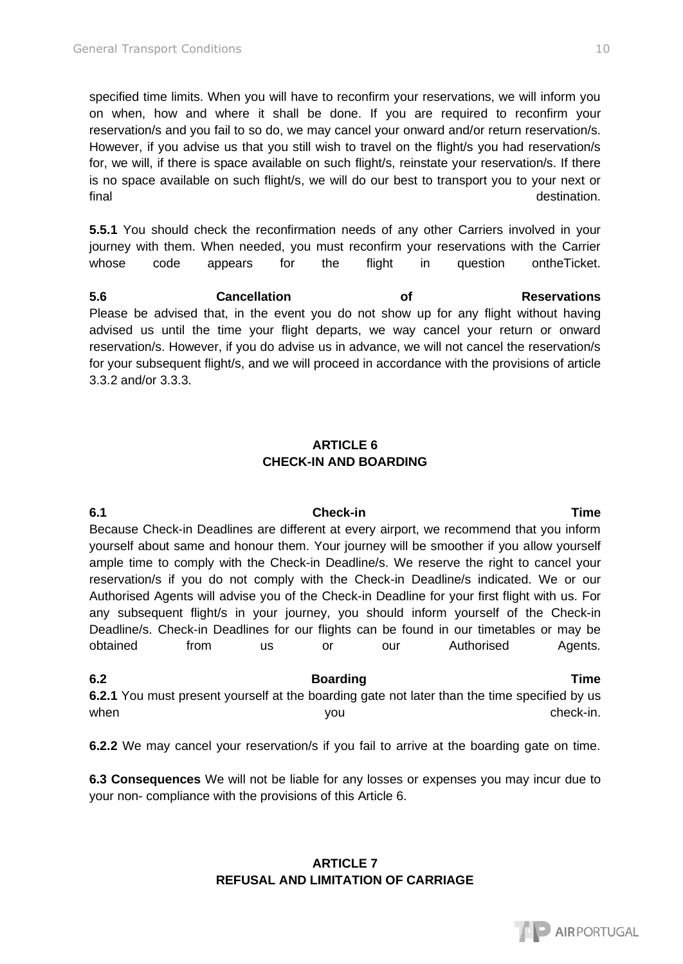specified time limits. When you will have to reconfirm your reservations, we will inform you on when, how and where it shall be done. If you are required to reconfirm your reservation/s and you fail to so do, we may cancel your onward and/or return reservation/s. However, if you advise us that you still wish to travel on the flight/s you had reservation/s for, we will, if there is space available on such flight/s, reinstate your reservation/s. If there is no space available on such flight/s, we will do our best to transport you to your next or final destination.

**5.5.1** You should check the reconfirmation needs of any other Carriers involved in your journey with them. When needed, you must reconfirm your reservations with the Carrier whose code appears for the flight in question ontheTicket.

**5.6 Cancellation of Reservations** Please be advised that, in the event you do not show up for any flight without having advised us until the time your flight departs, we way cancel your return or onward reservation/s. However, if you do advise us in advance, we will not cancel the reservation/s for your subsequent flight/s, and we will proceed in accordance with the provisions of article 3.3.2 and/or 3.3.3.

# **ARTICLE 6 CHECK-IN AND BOARDING**

**6.1 Check-in Time**  Because Check-in Deadlines are different at every airport, we recommend that you inform yourself about same and honour them. Your journey will be smoother if you allow yourself ample time to comply with the Check-in Deadline/s. We reserve the right to cancel your reservation/s if you do not comply with the Check-in Deadline/s indicated. We or our Authorised Agents will advise you of the Check-in Deadline for your first flight with us. For any subsequent flight/s in your journey, you should inform yourself of the Check-in Deadline/s. Check-in Deadlines for our flights can be found in our timetables or may be obtained from us or our Authorised Agents.

**6.2 Boarding Time 6.2.1** You must present yourself at the boarding gate not later than the time specified by us when  $y$ ou  $y$ ou check-in.

**6.2.2** We may cancel your reservation/s if you fail to arrive at the boarding gate on time.

**6.3 Consequences** We will not be liable for any losses or expenses you may incur due to your non- compliance with the provisions of this Article 6.

### **ARTICLE 7 REFUSAL AND LIMITATION OF CARRIAGE**

# **AIRPORTUGAL**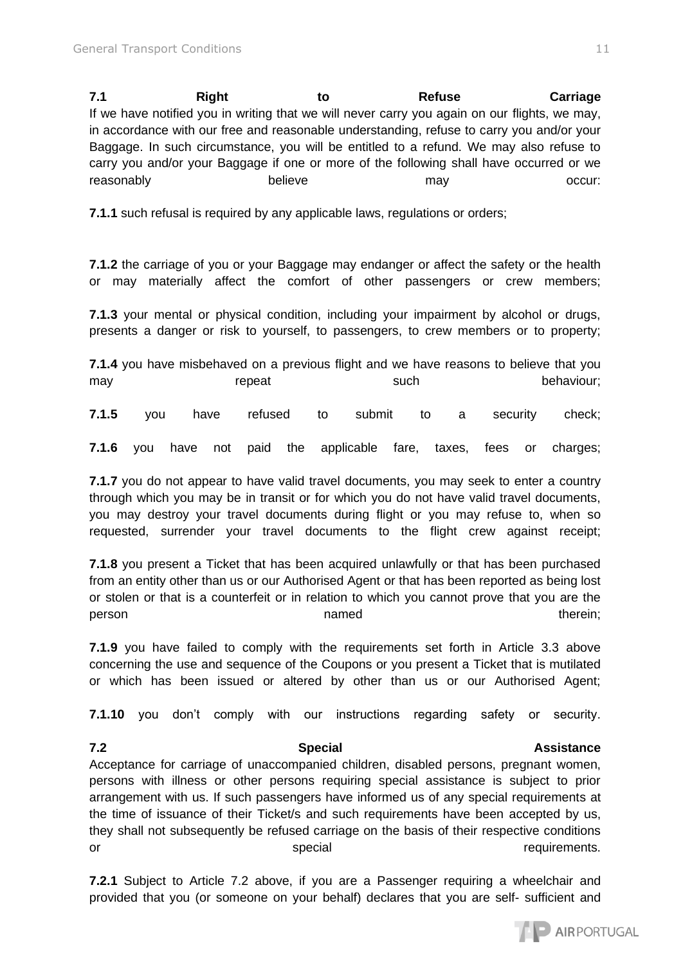**7.1 Right to Refuse Carriage**  If we have notified you in writing that we will never carry you again on our flights, we may, in accordance with our free and reasonable understanding, refuse to carry you and/or your Baggage. In such circumstance, you will be entitled to a refund. We may also refuse to carry you and/or your Baggage if one or more of the following shall have occurred or we reasonably believe may may occur:

**7.1.1** such refusal is required by any applicable laws, regulations or orders;

**7.1.2** the carriage of you or your Baggage may endanger or affect the safety or the health or may materially affect the comfort of other passengers or crew members;

**7.1.3** your mental or physical condition, including your impairment by alcohol or drugs, presents a danger or risk to yourself, to passengers, to crew members or to property;

**7.1.4** you have misbehaved on a previous flight and we have reasons to believe that you may repeat such such behaviour;

**7.1.5** you have refused to submit to a security check;

**7.1.6** you have not paid the applicable fare, taxes, fees or charges;

**7.1.7** you do not appear to have valid travel documents, you may seek to enter a country through which you may be in transit or for which you do not have valid travel documents, you may destroy your travel documents during flight or you may refuse to, when so requested, surrender your travel documents to the flight crew against receipt;

**7.1.8** you present a Ticket that has been acquired unlawfully or that has been purchased from an entity other than us or our Authorised Agent or that has been reported as being lost or stolen or that is a counterfeit or in relation to which you cannot prove that you are the person therein; therein; therein; therein; therein; therein; therein; therein; therein; therein; therein; therein; therein; therein; therein; therein; therein; therein; therein; therein; therein; therein; therein; the matt

**7.1.9** you have failed to comply with the requirements set forth in Article 3.3 above concerning the use and sequence of the Coupons or you present a Ticket that is mutilated or which has been issued or altered by other than us or our Authorised Agent;

**7.1.10** you don't comply with our instructions regarding safety or security.

Acceptance for carriage of unaccompanied children, disabled persons, pregnant women, persons with illness or other persons requiring special assistance is subject to prior arrangement with us. If such passengers have informed us of any special requirements at the time of issuance of their Ticket/s and such requirements have been accepted by us, they shall not subsequently be refused carriage on the basis of their respective conditions or special special special contracts.

**7.2.1** Subject to Article 7.2 above, if you are a Passenger requiring a wheelchair and provided that you (or someone on your behalf) declares that you are self- sufficient and



### **7.2 Special Assistance**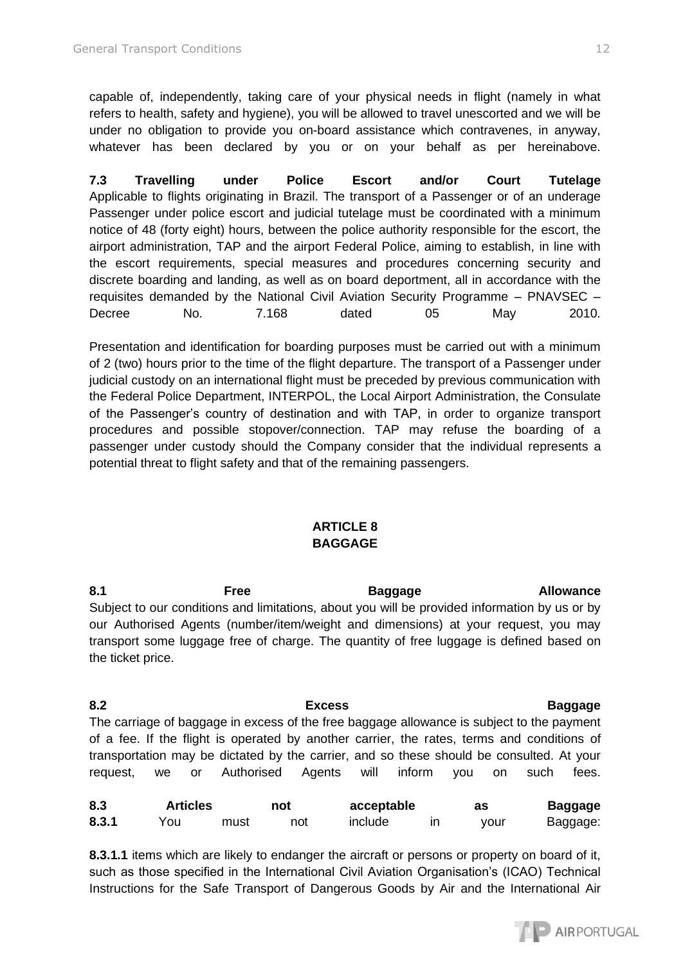capable of, independently, taking care of your physical needs in flight (namely in what refers to health, safety and hygiene), you will be allowed to travel unescorted and we will be under no obligation to provide you on-board assistance which contravenes, in anyway, whatever has been declared by you or on your behalf as per hereinabove.

**7.3 Travelling under Police Escort and/or Court Tutelage**  Applicable to flights originating in Brazil. The transport of a Passenger or of an underage Passenger under police escort and judicial tutelage must be coordinated with a minimum notice of 48 (forty eight) hours, between the police authority responsible for the escort, the airport administration, TAP and the airport Federal Police, aiming to establish, in line with the escort requirements, special measures and procedures concerning security and discrete boarding and landing, as well as on board deportment, all in accordance with the requisites demanded by the National Civil Aviation Security Programme – PNAVSEC – Decree No. 7.168 dated 05 May 2010.

Presentation and identification for boarding purposes must be carried out with a minimum of 2 (two) hours prior to the time of the flight departure. The transport of a Passenger under judicial custody on an international flight must be preceded by previous communication with the Federal Police Department, INTERPOL, the Local Airport Administration, the Consulate of the Passenger's country of destination and with TAP, in order to organize transport procedures and possible stopover/connection. TAP may refuse the boarding of a passenger under custody should the Company consider that the individual represents a potential threat to flight safety and that of the remaining passengers.

### **ARTICLE 8 BAGGAGE**

8.1 **Free Baggage Allowance** Subject to our conditions and limitations, about you will be provided information by us or by our Authorised Agents (number/item/weight and dimensions) at your request, you may transport some luggage free of charge. The quantity of free luggage is defined based on the ticket price.

**8.2 Excess Baggage**  The carriage of baggage in excess of the free baggage allowance is subject to the payment of a fee. If the flight is operated by another carrier, the rates, terms and conditions of transportation may be dictated by the carrier, and so these should be consulted. At your request, we or Authorised Agents will inform you on such fees.

| 8.3   | <b>Articles</b> |      | not | acceptable | as   | Baggage  |
|-------|-----------------|------|-----|------------|------|----------|
| 8.3.1 | You             | must | not | include    | vour | Baggage: |

**8.3.1.1** items which are likely to endanger the aircraft or persons or property on board of it, such as those specified in the International Civil Aviation Organisation's (ICAO) Technical Instructions for the Safe Transport of Dangerous Goods by Air and the International Air

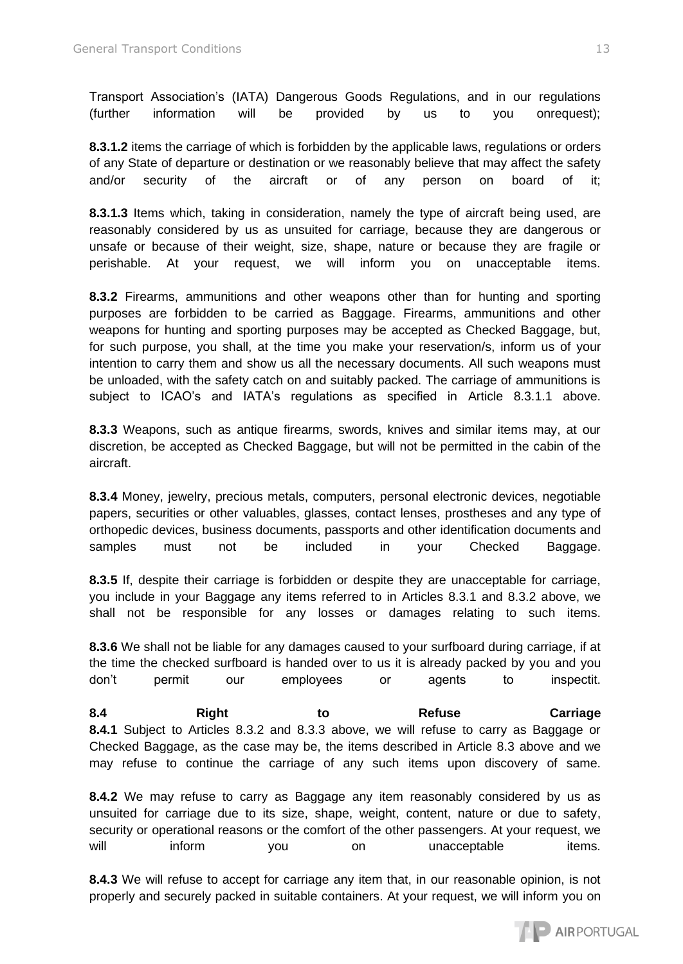Transport Association's (IATA) Dangerous Goods Regulations, and in our regulations (further information will be provided by us to you onrequest);

**8.3.1.2** items the carriage of which is forbidden by the applicable laws, regulations or orders of any State of departure or destination or we reasonably believe that may affect the safety and/or security of the aircraft or of any person on board of it;

**8.3.1.3** Items which, taking in consideration, namely the type of aircraft being used, are reasonably considered by us as unsuited for carriage, because they are dangerous or unsafe or because of their weight, size, shape, nature or because they are fragile or perishable. At your request, we will inform you on unacceptable items.

**8.3.2** Firearms, ammunitions and other weapons other than for hunting and sporting purposes are forbidden to be carried as Baggage. Firearms, ammunitions and other weapons for hunting and sporting purposes may be accepted as Checked Baggage, but, for such purpose, you shall, at the time you make your reservation/s, inform us of your intention to carry them and show us all the necessary documents. All such weapons must be unloaded, with the safety catch on and suitably packed. The carriage of ammunitions is subject to ICAO's and IATA's regulations as specified in Article 8.3.1.1 above.

**8.3.3** Weapons, such as antique firearms, swords, knives and similar items may, at our discretion, be accepted as Checked Baggage, but will not be permitted in the cabin of the aircraft.

**8.3.4** Money, jewelry, precious metals, computers, personal electronic devices, negotiable papers, securities or other valuables, glasses, contact lenses, prostheses and any type of orthopedic devices, business documents, passports and other identification documents and samples must not be included in your Checked Baggage.

**8.3.5** If, despite their carriage is forbidden or despite they are unacceptable for carriage, you include in your Baggage any items referred to in Articles 8.3.1 and 8.3.2 above, we shall not be responsible for any losses or damages relating to such items.

**8.3.6** We shall not be liable for any damages caused to your surfboard during carriage, if at the time the checked surfboard is handed over to us it is already packed by you and you don't permit our employees or agents to inspectit.

**8.4 Right to Refuse Carriage 8.4.1** Subject to Articles 8.3.2 and 8.3.3 above, we will refuse to carry as Baggage or Checked Baggage, as the case may be, the items described in Article 8.3 above and we may refuse to continue the carriage of any such items upon discovery of same.

**8.4.2** We may refuse to carry as Baggage any item reasonably considered by us as unsuited for carriage due to its size, shape, weight, content, nature or due to safety, security or operational reasons or the comfort of the other passengers. At your request, we will inform you on unacceptable items.

**8.4.3** We will refuse to accept for carriage any item that, in our reasonable opinion, is not properly and securely packed in suitable containers. At your request, we will inform you on

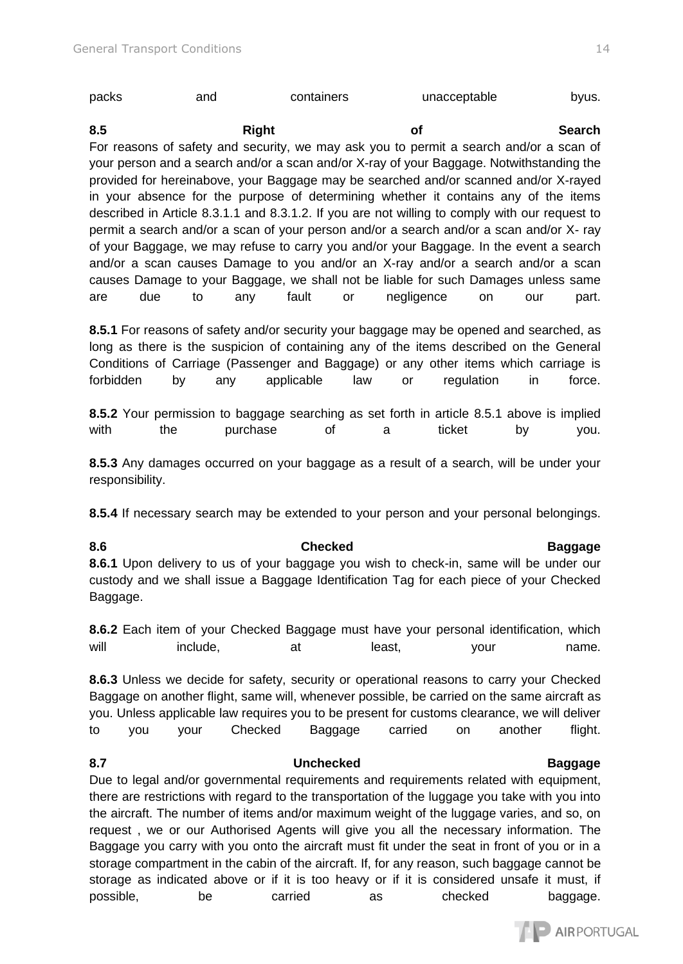| packs | and | containers | unacceptable | byus. |
|-------|-----|------------|--------------|-------|
|       |     |            |              |       |

8.5 Right **Right of Search** For reasons of safety and security, we may ask you to permit a search and/or a scan of your person and a search and/or a scan and/or X-ray of your Baggage. Notwithstanding the provided for hereinabove, your Baggage may be searched and/or scanned and/or X-rayed in your absence for the purpose of determining whether it contains any of the items described in Article 8.3.1.1 and 8.3.1.2. If you are not willing to comply with our request to permit a search and/or a scan of your person and/or a search and/or a scan and/or X- ray of your Baggage, we may refuse to carry you and/or your Baggage. In the event a search and/or a scan causes Damage to you and/or an X-ray and/or a search and/or a scan causes Damage to your Baggage, we shall not be liable for such Damages unless same are due to any fault or negligence on our part.

**8.5.1** For reasons of safety and/or security your baggage may be opened and searched, as long as there is the suspicion of containing any of the items described on the General Conditions of Carriage (Passenger and Baggage) or any other items which carriage is forbidden by any applicable law or regulation in force.

**8.5.2** Your permission to baggage searching as set forth in article 8.5.1 above is implied with the purchase of a ticket by you.

**8.5.3** Any damages occurred on your baggage as a result of a search, will be under your responsibility.

**8.5.4** If necessary search may be extended to your person and your personal belongings.

**8.6 Checked Baggage 8.6.1** Upon delivery to us of your baggage you wish to check-in, same will be under our custody and we shall issue a Baggage Identification Tag for each piece of your Checked Baggage.

**8.6.2** Each item of your Checked Baggage must have your personal identification, which will include, at at least, your name.

**8.6.3** Unless we decide for safety, security or operational reasons to carry your Checked Baggage on another flight, same will, whenever possible, be carried on the same aircraft as you. Unless applicable law requires you to be present for customs clearance, we will deliver to you your Checked Baggage carried on another flight.

# **8.7 Unchecked Baggage**

Due to legal and/or governmental requirements and requirements related with equipment, there are restrictions with regard to the transportation of the luggage you take with you into the aircraft. The number of items and/or maximum weight of the luggage varies, and so, on request , we or our Authorised Agents will give you all the necessary information. The Baggage you carry with you onto the aircraft must fit under the seat in front of you or in a storage compartment in the cabin of the aircraft. If, for any reason, such baggage cannot be storage as indicated above or if it is too heavy or if it is considered unsafe it must, if possible, be carried as checked baggage.

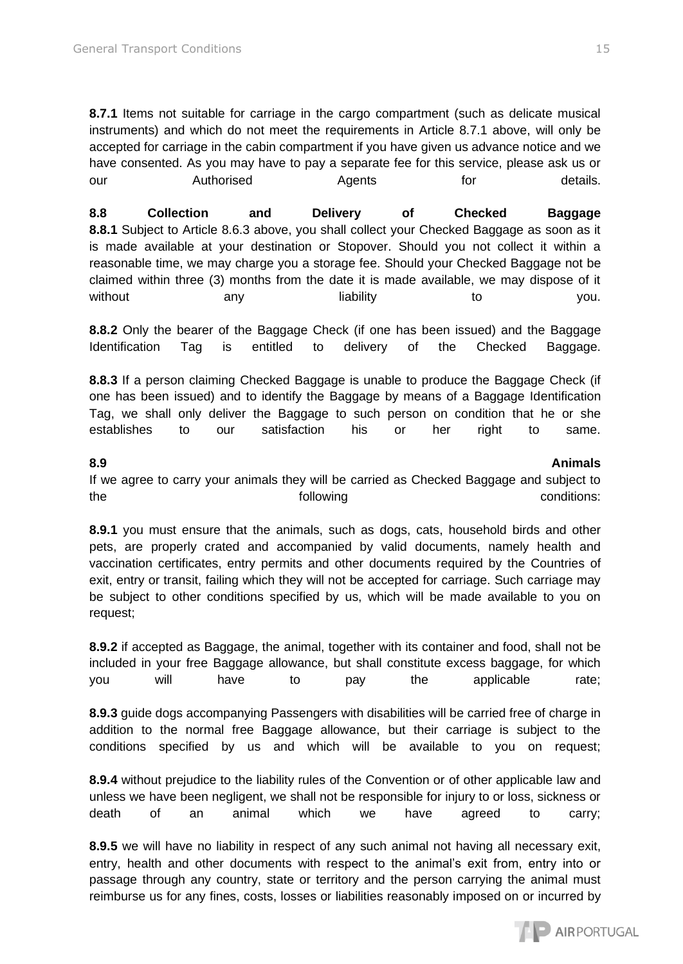**8.7.1** Items not suitable for carriage in the cargo compartment (such as delicate musical instruments) and which do not meet the requirements in Article 8.7.1 above, will only be accepted for carriage in the cabin compartment if you have given us advance notice and we have consented. As you may have to pay a separate fee for this service, please ask us or our **Authorised** Agents for details.

**8.8 Collection and Delivery of Checked Baggage 8.8.1** Subject to Article 8.6.3 above, you shall collect your Checked Baggage as soon as it is made available at your destination or Stopover. Should you not collect it within a reasonable time, we may charge you a storage fee. Should your Checked Baggage not be claimed within three (3) months from the date it is made available, we may dispose of it without any any liability to to you.

**8.8.2** Only the bearer of the Baggage Check (if one has been issued) and the Baggage Identification Tag is entitled to delivery of the Checked Baggage.

**8.8.3** If a person claiming Checked Baggage is unable to produce the Baggage Check (if one has been issued) and to identify the Baggage by means of a Baggage Identification Tag, we shall only deliver the Baggage to such person on condition that he or she establishes to our satisfaction his or her right to same.

### **8.9 Animals**

If we agree to carry your animals they will be carried as Checked Baggage and subject to the following conditions:

**8.9.1** you must ensure that the animals, such as dogs, cats, household birds and other pets, are properly crated and accompanied by valid documents, namely health and vaccination certificates, entry permits and other documents required by the Countries of exit, entry or transit, failing which they will not be accepted for carriage. Such carriage may be subject to other conditions specified by us, which will be made available to you on request;

**8.9.2** if accepted as Baggage, the animal, together with its container and food, shall not be included in your free Baggage allowance, but shall constitute excess baggage, for which you will have to pay the applicable rate;

**8.9.3** guide dogs accompanying Passengers with disabilities will be carried free of charge in addition to the normal free Baggage allowance, but their carriage is subject to the conditions specified by us and which will be available to you on request;

**8.9.4** without prejudice to the liability rules of the Convention or of other applicable law and unless we have been negligent, we shall not be responsible for injury to or loss, sickness or death of an animal which we have agreed to carry;

**8.9.5** we will have no liability in respect of any such animal not having all necessary exit, entry, health and other documents with respect to the animal's exit from, entry into or passage through any country, state or territory and the person carrying the animal must reimburse us for any fines, costs, losses or liabilities reasonably imposed on or incurred by

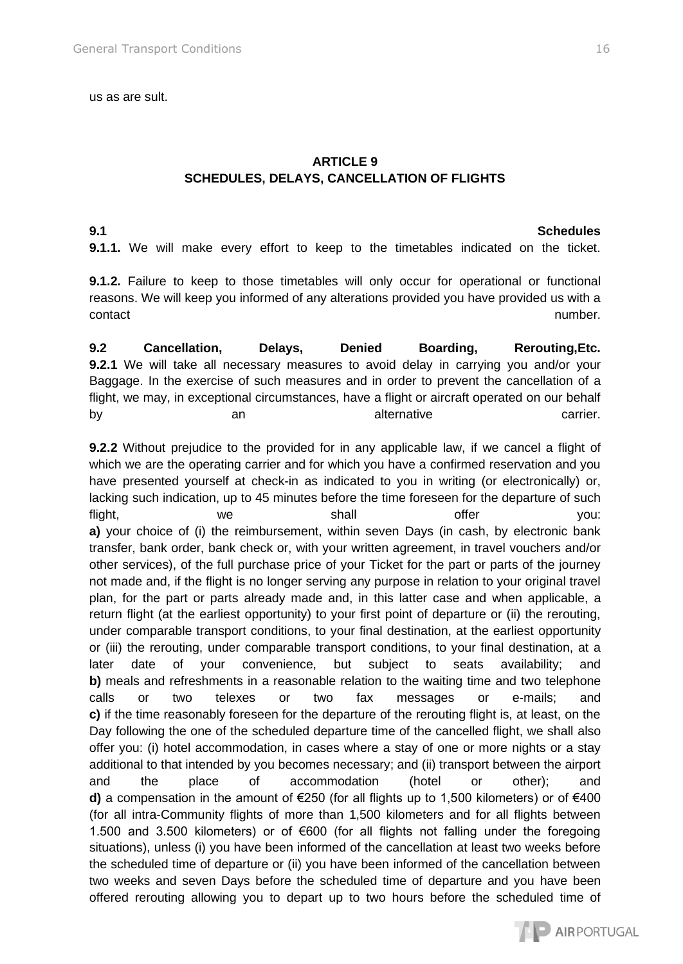us as are sult.

# **ARTICLE 9 SCHEDULES, DELAYS, CANCELLATION OF FLIGHTS**

**9.1 Schedules 9.1.1.** We will make every effort to keep to the timetables indicated on the ticket.

**9.1.2.** Failure to keep to those timetables will only occur for operational or functional reasons. We will keep you informed of any alterations provided you have provided us with a contact and the contact of the contact of the contact of the contact of the contact of the contact of the contact of the contact of the contact of the contact of the contact of the contact of the contact of the contact of

**9.2 Cancellation, Delays, Denied Boarding, Rerouting,Etc. 9.2.1** We will take all necessary measures to avoid delay in carrying you and/or your Baggage. In the exercise of such measures and in order to prevent the cancellation of a flight, we may, in exceptional circumstances, have a flight or aircraft operated on our behalf by an an alternative carrier.

**9.2.2** Without prejudice to the provided for in any applicable law, if we cancel a flight of which we are the operating carrier and for which you have a confirmed reservation and you have presented yourself at check-in as indicated to you in writing (or electronically) or, lacking such indication, up to 45 minutes before the time foreseen for the departure of such flight, we we shall offer you: **a)** your choice of (i) the reimbursement, within seven Days (in cash, by electronic bank transfer, bank order, bank check or, with your written agreement, in travel vouchers and/or other services), of the full purchase price of your Ticket for the part or parts of the journey not made and, if the flight is no longer serving any purpose in relation to your original travel plan, for the part or parts already made and, in this latter case and when applicable, a return flight (at the earliest opportunity) to your first point of departure or (ii) the rerouting, under comparable transport conditions, to your final destination, at the earliest opportunity or (iii) the rerouting, under comparable transport conditions, to your final destination, at a later date of your convenience, but subject to seats availability; and **b**) meals and refreshments in a reasonable relation to the waiting time and two telephone calls or two telexes or two fax messages or e-mails; and **c)** if the time reasonably foreseen for the departure of the rerouting flight is, at least, on the Day following the one of the scheduled departure time of the cancelled flight, we shall also offer you: (i) hotel accommodation, in cases where a stay of one or more nights or a stay additional to that intended by you becomes necessary; and (ii) transport between the airport and the place of accommodation (hotel or other); and **d)** a compensation in the amount of €250 (for all flights up to 1,500 kilometers) or of €400 (for all intra-Community flights of more than 1,500 kilometers and for all flights between 1.500 and 3.500 kilometers) or of €600 (for all flights not falling under the foregoing situations), unless (i) you have been informed of the cancellation at least two weeks before the scheduled time of departure or (ii) you have been informed of the cancellation between two weeks and seven Days before the scheduled time of departure and you have been offered rerouting allowing you to depart up to two hours before the scheduled time of

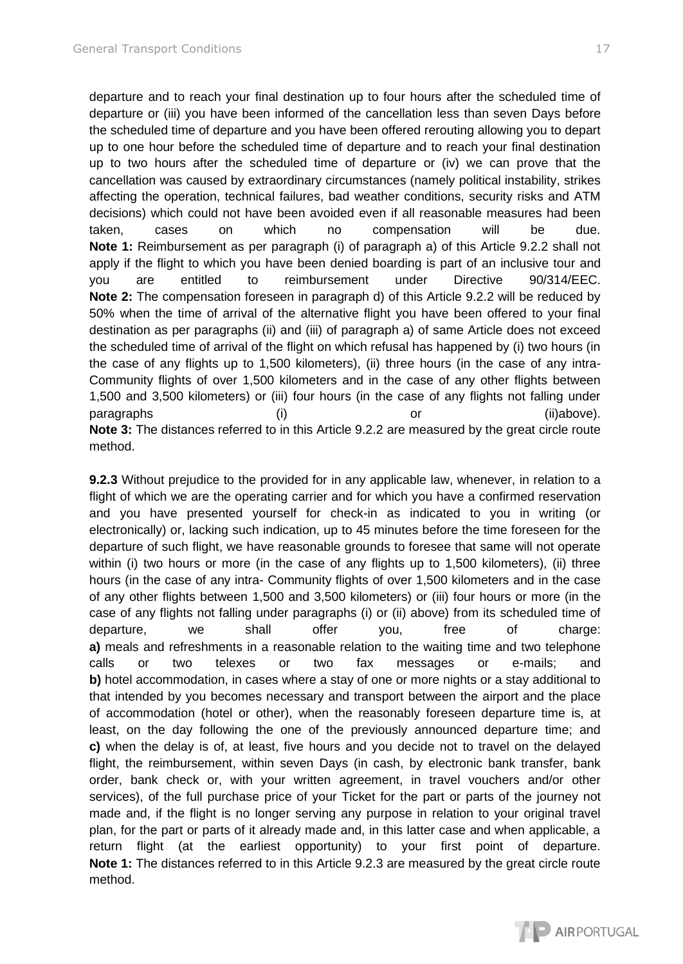departure and to reach your final destination up to four hours after the scheduled time of departure or (iii) you have been informed of the cancellation less than seven Days before the scheduled time of departure and you have been offered rerouting allowing you to depart up to one hour before the scheduled time of departure and to reach your final destination up to two hours after the scheduled time of departure or (iv) we can prove that the cancellation was caused by extraordinary circumstances (namely political instability, strikes affecting the operation, technical failures, bad weather conditions, security risks and ATM decisions) which could not have been avoided even if all reasonable measures had been taken, cases on which no compensation will be due. **Note 1:** Reimbursement as per paragraph (i) of paragraph a) of this Article 9.2.2 shall not apply if the flight to which you have been denied boarding is part of an inclusive tour and you are entitled to reimbursement under Directive 90/314/EEC. **Note 2:** The compensation foreseen in paragraph d) of this Article 9.2.2 will be reduced by 50% when the time of arrival of the alternative flight you have been offered to your final destination as per paragraphs (ii) and (iii) of paragraph a) of same Article does not exceed the scheduled time of arrival of the flight on which refusal has happened by (i) two hours (in the case of any flights up to 1,500 kilometers), (ii) three hours (in the case of any intra-Community flights of over 1,500 kilometers and in the case of any other flights between 1,500 and 3,500 kilometers) or (iii) four hours (in the case of any flights not falling under paragraphs (i) (i) or (ii)above). **Note 3:** The distances referred to in this Article 9.2.2 are measured by the great circle route method.

**9.2.3** Without prejudice to the provided for in any applicable law, whenever, in relation to a flight of which we are the operating carrier and for which you have a confirmed reservation and you have presented yourself for check-in as indicated to you in writing (or electronically) or, lacking such indication, up to 45 minutes before the time foreseen for the departure of such flight, we have reasonable grounds to foresee that same will not operate within (i) two hours or more (in the case of any flights up to 1,500 kilometers), (ii) three hours (in the case of any intra- Community flights of over 1,500 kilometers and in the case of any other flights between 1,500 and 3,500 kilometers) or (iii) four hours or more (in the case of any flights not falling under paragraphs (i) or (ii) above) from its scheduled time of departure, we shall offer you, free of charge: **a)** meals and refreshments in a reasonable relation to the waiting time and two telephone calls or two telexes or two fax messages or e-mails; and **b)** hotel accommodation, in cases where a stay of one or more nights or a stay additional to that intended by you becomes necessary and transport between the airport and the place of accommodation (hotel or other), when the reasonably foreseen departure time is, at least, on the day following the one of the previously announced departure time; and **c)** when the delay is of, at least, five hours and you decide not to travel on the delayed flight, the reimbursement, within seven Days (in cash, by electronic bank transfer, bank order, bank check or, with your written agreement, in travel vouchers and/or other services), of the full purchase price of your Ticket for the part or parts of the journey not made and, if the flight is no longer serving any purpose in relation to your original travel plan, for the part or parts of it already made and, in this latter case and when applicable, a return flight (at the earliest opportunity) to your first point of departure. **Note 1:** The distances referred to in this Article 9.2.3 are measured by the great circle route method.

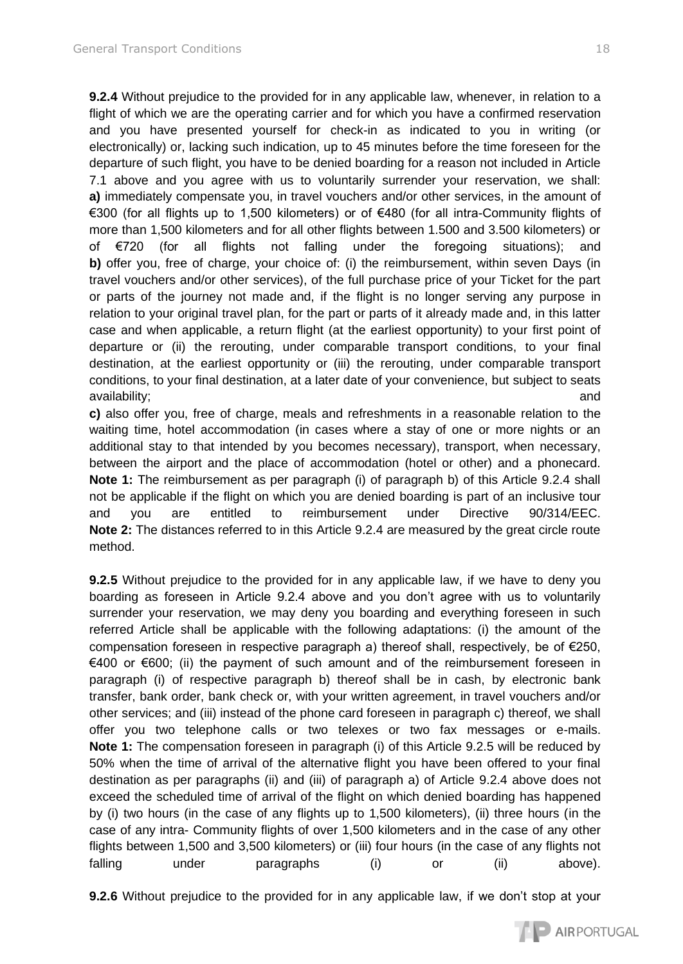**9.2.4** Without prejudice to the provided for in any applicable law, whenever, in relation to a flight of which we are the operating carrier and for which you have a confirmed reservation and you have presented yourself for check-in as indicated to you in writing (or

electronically) or, lacking such indication, up to 45 minutes before the time foreseen for the departure of such flight, you have to be denied boarding for a reason not included in Article 7.1 above and you agree with us to voluntarily surrender your reservation, we shall: **a)** immediately compensate you, in travel vouchers and/or other services, in the amount of €300 (for all flights up to 1,500 kilometers) or of €480 (for all intra-Community flights of more than 1,500 kilometers and for all other flights between 1.500 and 3.500 kilometers) or of €720 (for all flights not falling under the foregoing situations); and **b)** offer you, free of charge, your choice of: (i) the reimbursement, within seven Days (in travel vouchers and/or other services), of the full purchase price of your Ticket for the part or parts of the journey not made and, if the flight is no longer serving any purpose in relation to your original travel plan, for the part or parts of it already made and, in this latter case and when applicable, a return flight (at the earliest opportunity) to your first point of departure or (ii) the rerouting, under comparable transport conditions, to your final destination, at the earliest opportunity or (iii) the rerouting, under comparable transport conditions, to your final destination, at a later date of your convenience, but subject to seats availability; and

**c)** also offer you, free of charge, meals and refreshments in a reasonable relation to the waiting time, hotel accommodation (in cases where a stay of one or more nights or an additional stay to that intended by you becomes necessary), transport, when necessary, between the airport and the place of accommodation (hotel or other) and a phonecard. **Note 1:** The reimbursement as per paragraph (i) of paragraph b) of this Article 9.2.4 shall not be applicable if the flight on which you are denied boarding is part of an inclusive tour and you are entitled to reimbursement under Directive 90/314/EEC. **Note 2:** The distances referred to in this Article 9.2.4 are measured by the great circle route method.

**9.2.5** Without prejudice to the provided for in any applicable law, if we have to deny you boarding as foreseen in Article 9.2.4 above and you don't agree with us to voluntarily surrender your reservation, we may deny you boarding and everything foreseen in such referred Article shall be applicable with the following adaptations: (i) the amount of the compensation foreseen in respective paragraph a) thereof shall, respectively, be of €250, €400 or €600; (ii) the payment of such amount and of the reimbursement foreseen in paragraph (i) of respective paragraph b) thereof shall be in cash, by electronic bank transfer, bank order, bank check or, with your written agreement, in travel vouchers and/or other services; and (iii) instead of the phone card foreseen in paragraph c) thereof, we shall offer you two telephone calls or two telexes or two fax messages or e-mails. **Note 1:** The compensation foreseen in paragraph (i) of this Article 9.2.5 will be reduced by 50% when the time of arrival of the alternative flight you have been offered to your final destination as per paragraphs (ii) and (iii) of paragraph a) of Article 9.2.4 above does not exceed the scheduled time of arrival of the flight on which denied boarding has happened by (i) two hours (in the case of any flights up to 1,500 kilometers), (ii) three hours (in the case of any intra- Community flights of over 1,500 kilometers and in the case of any other flights between 1,500 and 3,500 kilometers) or (iii) four hours (in the case of any flights not falling under paragraphs (i) or (ii) above).

**9.2.6** Without prejudice to the provided for in any applicable law, if we don't stop at your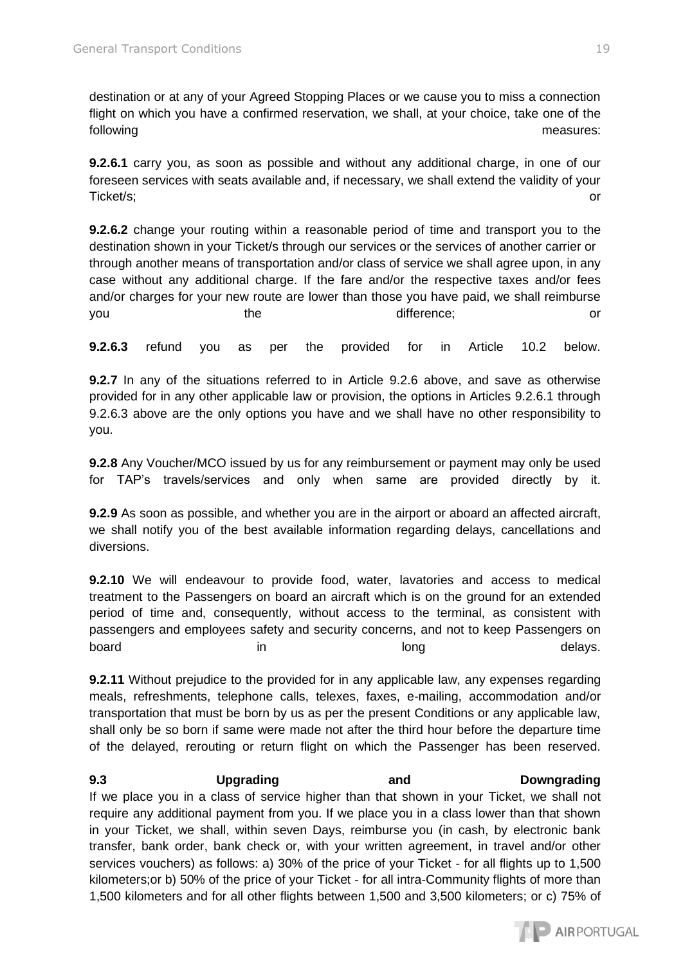destination or at any of your Agreed Stopping Places or we cause you to miss a connection flight on which you have a confirmed reservation, we shall, at your choice, take one of the following measures:

**9.2.6.1** carry you, as soon as possible and without any additional charge, in one of our foreseen services with seats available and, if necessary, we shall extend the validity of your Ticket/s; or

**9.2.6.2** change your routing within a reasonable period of time and transport you to the destination shown in your Ticket/s through our services or the services of another carrier or through another means of transportation and/or class of service we shall agree upon, in any case without any additional charge. If the fare and/or the respective taxes and/or fees and/or charges for your new route are lower than those you have paid, we shall reimburse you the the difference; or

**9.2.6.3** refund you as per the provided for in Article 10.2 below.

**9.2.7** In any of the situations referred to in Article 9.2.6 above, and save as otherwise provided for in any other applicable law or provision, the options in Articles 9.2.6.1 through 9.2.6.3 above are the only options you have and we shall have no other responsibility to you.

**9.2.8** Any Voucher/MCO issued by us for any reimbursement or payment may only be used for TAP's travels/services and only when same are provided directly by it.

**9.2.9** As soon as possible, and whether you are in the airport or aboard an affected aircraft, we shall notify you of the best available information regarding delays, cancellations and diversions.

**9.2.10** We will endeavour to provide food, water, lavatories and access to medical treatment to the Passengers on board an aircraft which is on the ground for an extended period of time and, consequently, without access to the terminal, as consistent with passengers and employees safety and security concerns, and not to keep Passengers on board in in long long delays.

**9.2.11** Without prejudice to the provided for in any applicable law, any expenses regarding meals, refreshments, telephone calls, telexes, faxes, e-mailing, accommodation and/or transportation that must be born by us as per the present Conditions or any applicable law, shall only be so born if same were made not after the third hour before the departure time of the delayed, rerouting or return flight on which the Passenger has been reserved.

# **9.3 Upgrading and Downgrading**  If we place you in a class of service higher than that shown in your Ticket, we shall not require any additional payment from you. If we place you in a class lower than that shown in your Ticket, we shall, within seven Days, reimburse you (in cash, by electronic bank transfer, bank order, bank check or, with your written agreement, in travel and/or other

services vouchers) as follows: a) 30% of the price of your Ticket - for all flights up to 1,500 kilometers;or b) 50% of the price of your Ticket - for all intra-Community flights of more than 1,500 kilometers and for all other flights between 1,500 and 3,500 kilometers; or c) 75% of

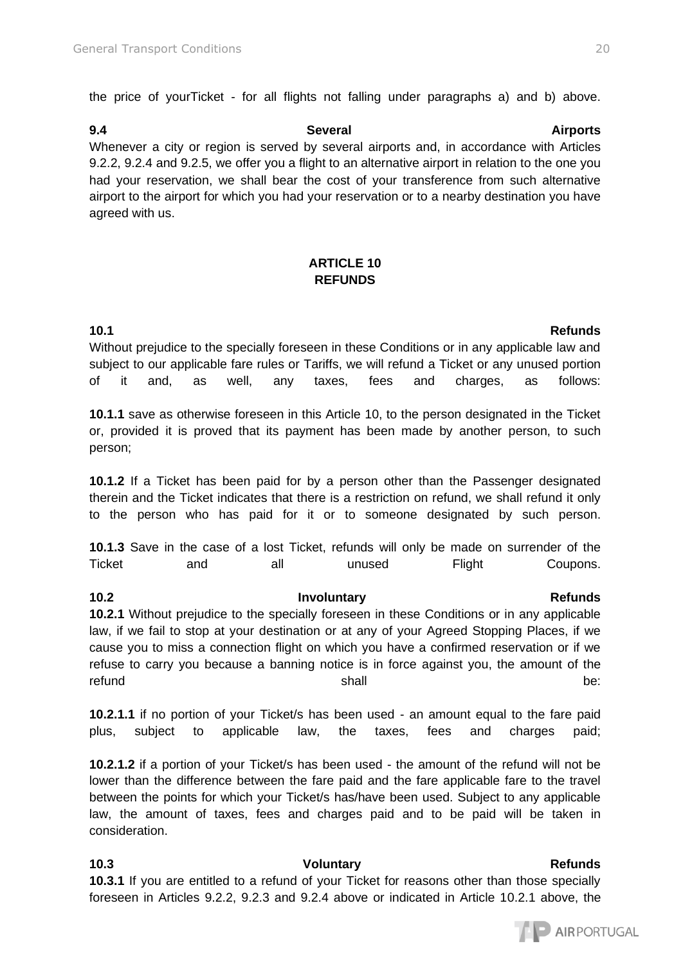the price of yourTicket - for all flights not falling under paragraphs a) and b) above.

**9.4 Several Airports**  Whenever a city or region is served by several airports and, in accordance with Articles 9.2.2, 9.2.4 and 9.2.5, we offer you a flight to an alternative airport in relation to the one you had your reservation, we shall bear the cost of your transference from such alternative airport to the airport for which you had your reservation or to a nearby destination you have agreed with us.

# **ARTICLE 10 REFUNDS**

**10.1 Refunds**  Without prejudice to the specially foreseen in these Conditions or in any applicable law and subject to our applicable fare rules or Tariffs, we will refund a Ticket or any unused portion of it and, as well, any taxes, fees and charges, as follows:

**10.1.1** save as otherwise foreseen in this Article 10, to the person designated in the Ticket or, provided it is proved that its payment has been made by another person, to such person;

**10.1.2** If a Ticket has been paid for by a person other than the Passenger designated therein and the Ticket indicates that there is a restriction on refund, we shall refund it only to the person who has paid for it or to someone designated by such person.

**10.1.3** Save in the case of a lost Ticket, refunds will only be made on surrender of the Ticket and all unused Flight Coupons.

**10.2.1** Without prejudice to the specially foreseen in these Conditions or in any applicable law, if we fail to stop at your destination or at any of your Agreed Stopping Places, if we cause you to miss a connection flight on which you have a confirmed reservation or if we refuse to carry you because a banning notice is in force against you, the amount of the refund be: the shall be: the shall be:

**10.2.1.1** if no portion of your Ticket/s has been used - an amount equal to the fare paid plus, subject to applicable law, the taxes, fees and charges paid;

**10.2.1.2** if a portion of your Ticket/s has been used - the amount of the refund will not be lower than the difference between the fare paid and the fare applicable fare to the travel between the points for which your Ticket/s has/have been used. Subject to any applicable law, the amount of taxes, fees and charges paid and to be paid will be taken in consideration.

**10.3 CONFIDENTIAL CONSTRUCTE VOLUME VIOLUTE VIOLUTE AT A REFUNDS** Refunds **Refunds 10.3.1** If you are entitled to a refund of your Ticket for reasons other than those specially foreseen in Articles 9.2.2, 9.2.3 and 9.2.4 above or indicated in Article 10.2.1 above, the

### **10.2 Involuntary Refunds Refunds**

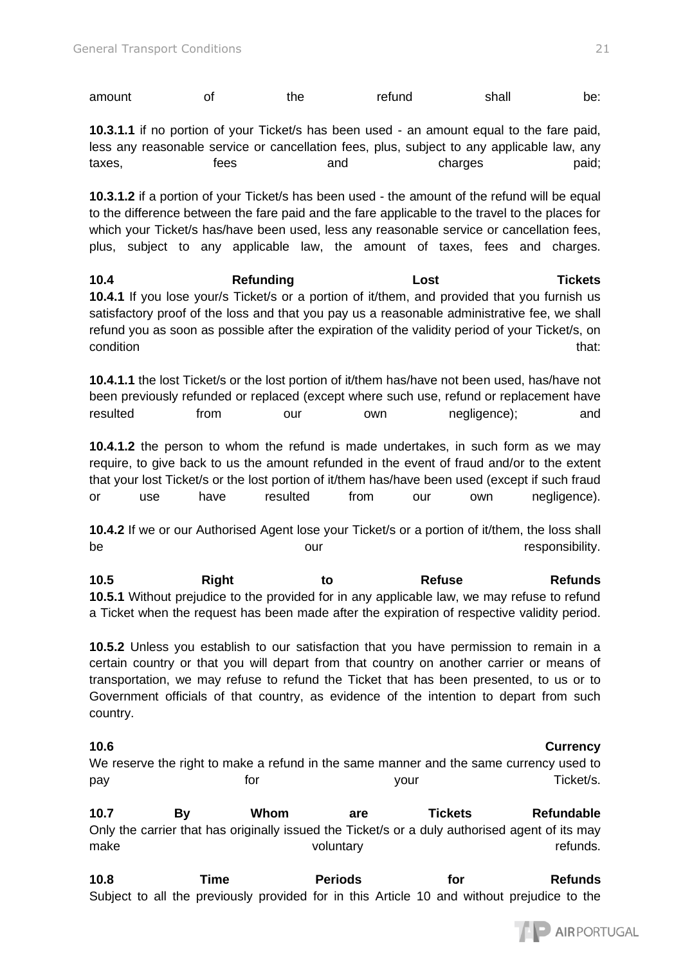| amount | the | refund | shall | be: |
|--------|-----|--------|-------|-----|
|        |     |        |       |     |

**10.3.1.1** if no portion of your Ticket/s has been used - an amount equal to the fare paid, less any reasonable service or cancellation fees, plus, subject to any applicable law, any taxes, taxes, thes and charges paid;

**10.3.1.2** if a portion of your Ticket/s has been used - the amount of the refund will be equal to the difference between the fare paid and the fare applicable to the travel to the places for which your Ticket/s has/have been used, less any reasonable service or cancellation fees, plus, subject to any applicable law, the amount of taxes, fees and charges.

**10.4 Refunding Lost Tickets 10.4.1** If you lose your/s Ticket/s or a portion of it/them, and provided that you furnish us satisfactory proof of the loss and that you pay us a reasonable administrative fee, we shall refund you as soon as possible after the expiration of the validity period of your Ticket/s, on condition that: the condition of the condition of the condition of the condition of the condition of the condition

**10.4.1.1** the lost Ticket/s or the lost portion of it/them has/have not been used, has/have not been previously refunded or replaced (except where such use, refund or replacement have resulted from our own negligence); and

**10.4.1.2** the person to whom the refund is made undertakes, in such form as we may require, to give back to us the amount refunded in the event of fraud and/or to the extent that your lost Ticket/s or the lost portion of it/them has/have been used (except if such fraud or use have resulted from our own negligence).

**10.4.2** If we or our Authorised Agent lose your Ticket/s or a portion of it/them, the loss shall be **be a set our be our contract our contract our** contract our contract our contract our contract our contract o

**10.5 Right to Refuse Refunds 10.5.1** Without prejudice to the provided for in any applicable law, we may refuse to refund a Ticket when the request has been made after the expiration of respective validity period.

**10.5.2** Unless you establish to our satisfaction that you have permission to remain in a certain country or that you will depart from that country on another carrier or means of transportation, we may refuse to refund the Ticket that has been presented, to us or to Government officials of that country, as evidence of the intention to depart from such country.

### **10.6 Currency**

We reserve the right to make a refund in the same manner and the same currency used to pay **for** the settlement of the settlement of the settlement of the settlement of the settlement of the settlement of the settlement of the settlement of the settlement of the settlement of the settlement of the settlement

**10.7 By Whom are Tickets Refundable**  Only the carrier that has originally issued the Ticket/s or a duly authorised agent of its may make voluntary voluntary compared the refunds.

10.8 Time **Periods** for Refunds Subject to all the previously provided for in this Article 10 and without prejudice to the

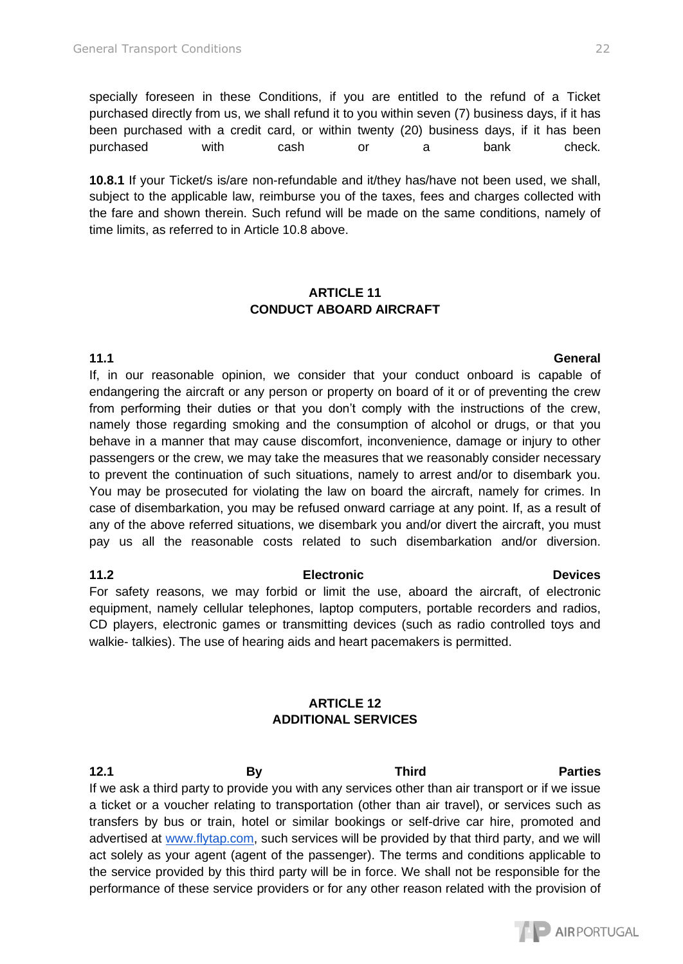specially foreseen in these Conditions, if you are entitled to the refund of a Ticket purchased directly from us, we shall refund it to you within seven (7) business days, if it has been purchased with a credit card, or within twenty (20) business days, if it has been purchased with cash or a bank check.

**10.8.1** If your Ticket/s is/are non-refundable and it/they has/have not been used, we shall, subject to the applicable law, reimburse you of the taxes, fees and charges collected with the fare and shown therein. Such refund will be made on the same conditions, namely of time limits, as referred to in Article 10.8 above.

### **ARTICLE 11 CONDUCT ABOARD AIRCRAFT**

### **11.1 General**

If, in our reasonable opinion, we consider that your conduct onboard is capable of endangering the aircraft or any person or property on board of it or of preventing the crew from performing their duties or that you don't comply with the instructions of the crew, namely those regarding smoking and the consumption of alcohol or drugs, or that you behave in a manner that may cause discomfort, inconvenience, damage or injury to other passengers or the crew, we may take the measures that we reasonably consider necessary to prevent the continuation of such situations, namely to arrest and/or to disembark you. You may be prosecuted for violating the law on board the aircraft, namely for crimes. In case of disembarkation, you may be refused onward carriage at any point. If, as a result of any of the above referred situations, we disembark you and/or divert the aircraft, you must pay us all the reasonable costs related to such disembarkation and/or diversion.

### **11.2 Electronic Devices**  For safety reasons, we may forbid or limit the use, aboard the aircraft, of electronic equipment, namely cellular telephones, laptop computers, portable recorders and radios, CD players, electronic games or transmitting devices (such as radio controlled toys and

walkie- talkies). The use of hearing aids and heart pacemakers is permitted.

# **ARTICLE 12 ADDITIONAL SERVICES**

**12.1 By Third Parties**  If we ask a third party to provide you with any services other than air transport or if we issue a ticket or a voucher relating to transportation (other than air travel), or services such as transfers by bus or train, hotel or similar bookings or self-drive car hire, promoted and advertised at [www.flytap.com,](http://www.flytap.com/) such services will be provided by that third party, and we will act solely as your agent (agent of the passenger). The terms and conditions applicable to the service provided by this third party will be in force. We shall not be responsible for the performance of these service providers or for any other reason related with the provision of

AIRPORTUGAL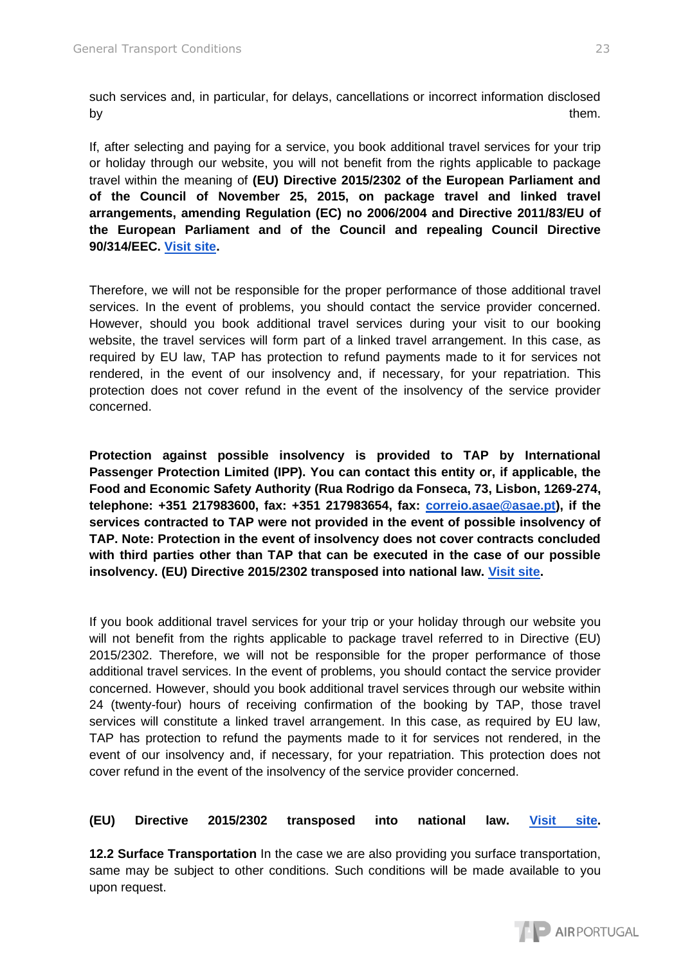such services and, in particular, for delays, cancellations or incorrect information disclosed by them.

If, after selecting and paying for a service, you book additional travel services for your trip or holiday through our website, you will not benefit from the rights applicable to package travel within the meaning of **(EU) Directive 2015/2302 of the European Parliament and of the Council of November 25, 2015, on package travel and linked travel arrangements, amending Regulation (EC) no 2006/2004 and Directive 2011/83/EU of the European Parliament and of the Council and repealing Council Directive 90/314/EEC. [Visit site.](https://eur-lex.europa.eu/legal-content/PT/TXT/PDF/?uri=CELEX:32015L2302&from=EL)** 

Therefore, we will not be responsible for the proper performance of those additional travel services. In the event of problems, you should contact the service provider concerned. However, should you book additional travel services during your visit to our booking website, the travel services will form part of a linked travel arrangement. In this case, as required by EU law, TAP has protection to refund payments made to it for services not rendered, in the event of our insolvency and, if necessary, for your repatriation. This protection does not cover refund in the event of the insolvency of the service provider concerned.

**Protection against possible insolvency is provided to TAP by International Passenger Protection Limited (IPP). You can contact this entity or, if applicable, the Food and Economic Safety Authority (Rua Rodrigo da Fonseca, 73, Lisbon, 1269-274, telephone: +351 217983600, fax: +351 217983654, fax: [correio.asae@asae.pt\)](mailto:correio.asae@asae.pt), if the services contracted to TAP were not provided in the event of possible insolvency of TAP. Note: Protection in the event of insolvency does not cover contracts concluded with third parties other than TAP that can be executed in the case of our possible insolvency. (EU) Directive 2015/2302 transposed into national law. [Visit site.](https://eur-lex.europa.eu/legal-content/PT/TXT/PDF/?uri=CELEX:32015L2302&from=EL)** 

If you book additional travel services for your trip or your holiday through our website you will not benefit from the rights applicable to package travel referred to in Directive (EU) 2015/2302. Therefore, we will not be responsible for the proper performance of those additional travel services. In the event of problems, you should contact the service provider concerned. However, should you book additional travel services through our website within 24 (twenty-four) hours of receiving confirmation of the booking by TAP, those travel services will constitute a linked travel arrangement. In this case, as required by EU law, TAP has protection to refund the payments made to it for services not rendered, in the event of our insolvency and, if necessary, for your repatriation. This protection does not cover refund in the event of the insolvency of the service provider concerned.

**(EU) Directive 2015/2302 transposed into national law. [Visit site.](https://eur-lex.europa.eu/legal-content/PT/TXT/PDF/?uri=CELEX:32015L2302&from=EL)**

**12.2 Surface Transportation** In the case we are also providing you surface transportation, same may be subject to other conditions. Such conditions will be made available to you upon request.

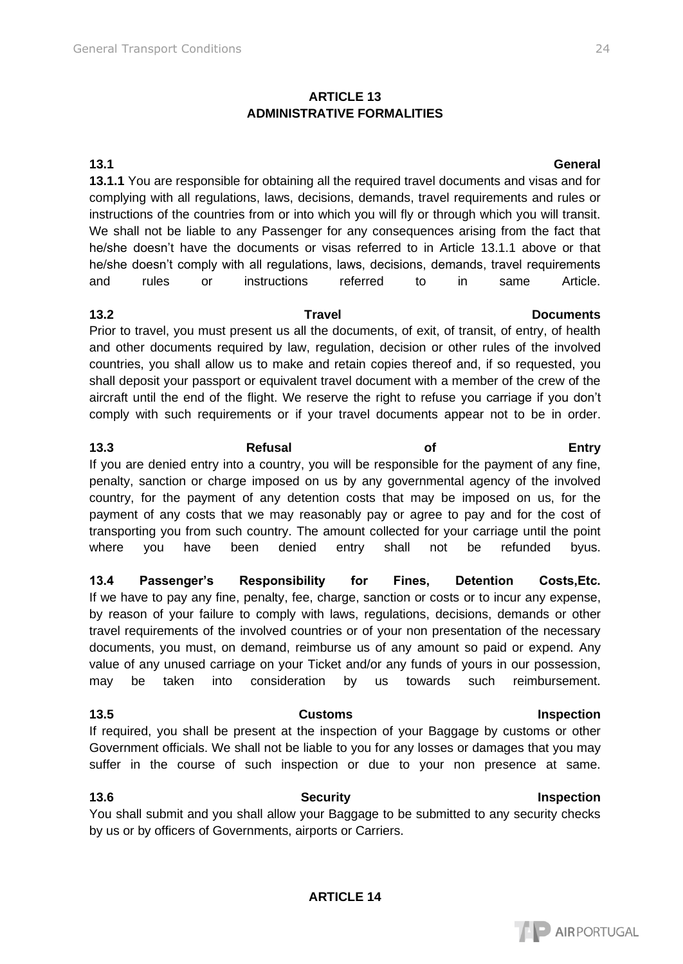### **ARTICLE 13 ADMINISTRATIVE FORMALITIES**

**13.1.1** You are responsible for obtaining all the required travel documents and visas and for complying with all regulations, laws, decisions, demands, travel requirements and rules or instructions of the countries from or into which you will fly or through which you will transit. We shall not be liable to any Passenger for any consequences arising from the fact that he/she doesn't have the documents or visas referred to in Article 13.1.1 above or that he/she doesn't comply with all regulations, laws, decisions, demands, travel requirements and rules or instructions referred to in same Article.

Prior to travel, you must present us all the documents, of exit, of transit, of entry, of health and other documents required by law, regulation, decision or other rules of the involved countries, you shall allow us to make and retain copies thereof and, if so requested, you shall deposit your passport or equivalent travel document with a member of the crew of the aircraft until the end of the flight. We reserve the right to refuse you carriage if you don't comply with such requirements or if your travel documents appear not to be in order.

**13.3 Refusal of Entry**  If you are denied entry into a country, you will be responsible for the payment of any fine, penalty, sanction or charge imposed on us by any governmental agency of the involved country, for the payment of any detention costs that may be imposed on us, for the payment of any costs that we may reasonably pay or agree to pay and for the cost of transporting you from such country. The amount collected for your carriage until the point where you have been denied entry shall not be refunded byus.

**13.4 Passenger's Responsibility for Fines, Detention Costs,Etc.**  If we have to pay any fine, penalty, fee, charge, sanction or costs or to incur any expense, by reason of your failure to comply with laws, regulations, decisions, demands or other travel requirements of the involved countries or of your non presentation of the necessary documents, you must, on demand, reimburse us of any amount so paid or expend. Any value of any unused carriage on your Ticket and/or any funds of yours in our possession, may be taken into consideration by us towards such reimbursement.

**13.5 Customs Inspection**  If required, you shall be present at the inspection of your Baggage by customs or other Government officials. We shall not be liable to you for any losses or damages that you may suffer in the course of such inspection or due to your non presence at same.

### **13.6 Security Inspection**  You shall submit and you shall allow your Baggage to be submitted to any security checks by us or by officers of Governments, airports or Carriers.

# **13.1 General**

# **13.2 Travel Documents**

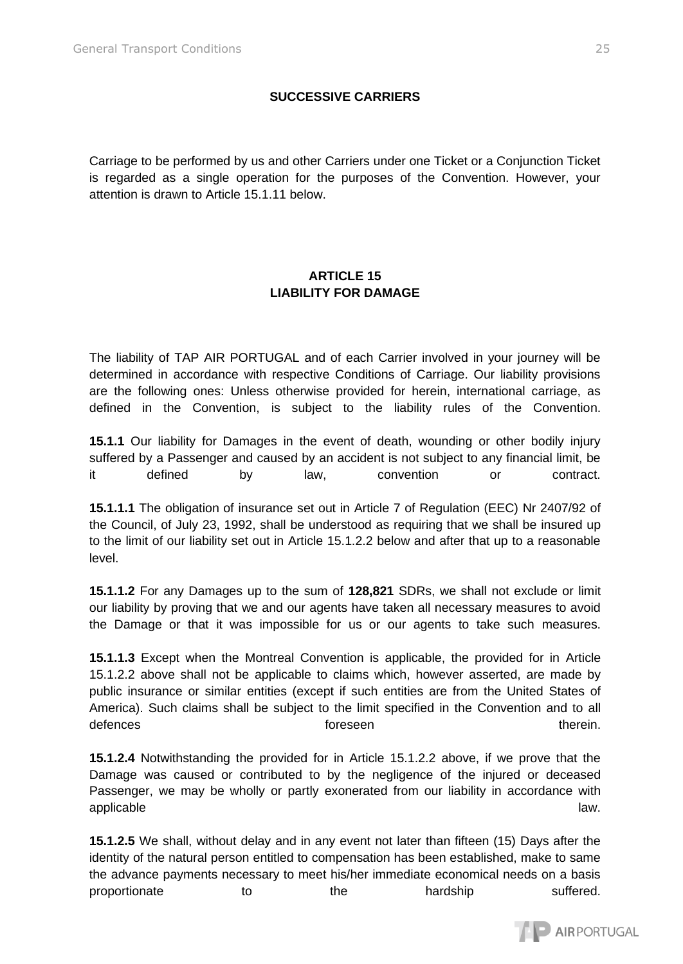# **SUCCESSIVE CARRIERS**

Carriage to be performed by us and other Carriers under one Ticket or a Conjunction Ticket is regarded as a single operation for the purposes of the Convention. However, your attention is drawn to Article 15.1.11 below.

# **ARTICLE 15 LIABILITY FOR DAMAGE**

The liability of TAP AIR PORTUGAL and of each Carrier involved in your journey will be determined in accordance with respective Conditions of Carriage. Our liability provisions are the following ones: Unless otherwise provided for herein, international carriage, as defined in the Convention, is subject to the liability rules of the Convention.

**15.1.1** Our liability for Damages in the event of death, wounding or other bodily injury suffered by a Passenger and caused by an accident is not subject to any financial limit, be it defined by law, convention or contract.

**15.1.1.1** The obligation of insurance set out in Article 7 of Regulation (EEC) Nr 2407/92 of the Council, of July 23, 1992, shall be understood as requiring that we shall be insured up to the limit of our liability set out in Article 15.1.2.2 below and after that up to a reasonable level.

**15.1.1.2** For any Damages up to the sum of **128,821** SDRs, we shall not exclude or limit our liability by proving that we and our agents have taken all necessary measures to avoid the Damage or that it was impossible for us or our agents to take such measures.

**15.1.1.3** Except when the Montreal Convention is applicable, the provided for in Article 15.1.2.2 above shall not be applicable to claims which, however asserted, are made by public insurance or similar entities (except if such entities are from the United States of America). Such claims shall be subject to the limit specified in the Convention and to all defences therein. The foreseen therein therein.

**15.1.2.4** Notwithstanding the provided for in Article 15.1.2.2 above, if we prove that the Damage was caused or contributed to by the negligence of the injured or deceased Passenger, we may be wholly or partly exonerated from our liability in accordance with applicable law. In the contract of the contract of the contract of the contract of the contract of the contract of the contract of the contract of the contract of the contract of the contract of the contract of the contrac

**15.1.2.5** We shall, without delay and in any event not later than fifteen (15) Days after the identity of the natural person entitled to compensation has been established, make to same the advance payments necessary to meet his/her immediate economical needs on a basis proportionate to the hardship suffered.

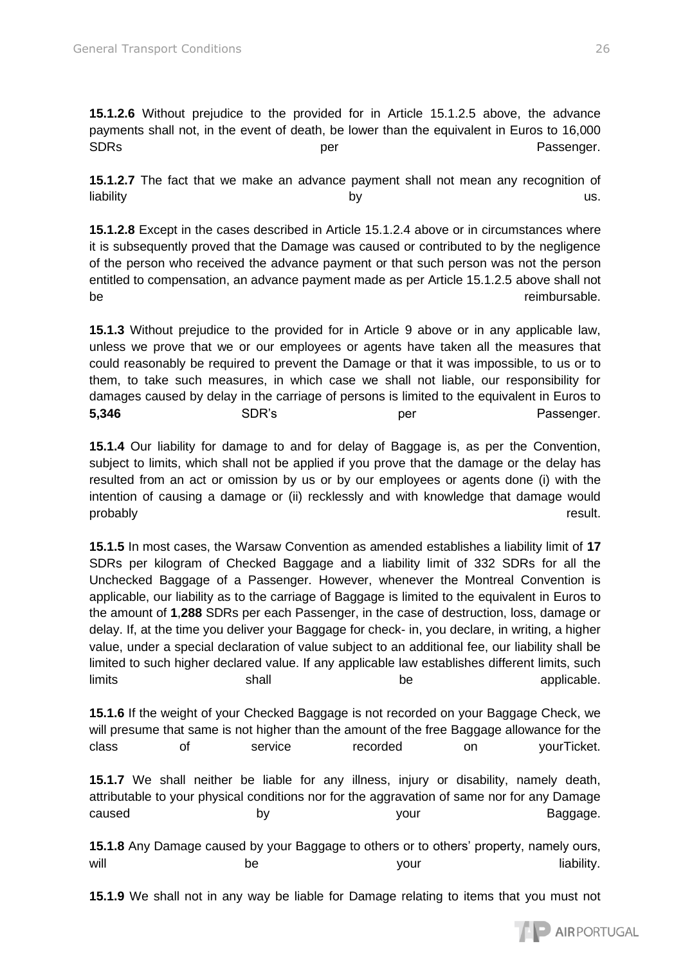**15.1.2.6** Without prejudice to the provided for in Article 15.1.2.5 above, the advance payments shall not, in the event of death, be lower than the equivalent in Euros to 16,000 SDRs **SDRs** per per per Passenger.

**15.1.2.7** The fact that we make an advance payment shall not mean any recognition of liability us. Notice that the by the by the contract of the contract of the contract of the contract of the co

**15.1.2.8** Except in the cases described in Article 15.1.2.4 above or in circumstances where it is subsequently proved that the Damage was caused or contributed to by the negligence of the person who received the advance payment or that such person was not the person entitled to compensation, an advance payment made as per Article 15.1.2.5 above shall not be reimbursable.

**15.1.3** Without prejudice to the provided for in Article 9 above or in any applicable law, unless we prove that we or our employees or agents have taken all the measures that could reasonably be required to prevent the Damage or that it was impossible, to us or to them, to take such measures, in which case we shall not liable, our responsibility for damages caused by delay in the carriage of persons is limited to the equivalent in Euros to **5,346** SDR's per Passenger.

**15.1.4** Our liability for damage to and for delay of Baggage is, as per the Convention, subject to limits, which shall not be applied if you prove that the damage or the delay has resulted from an act or omission by us or by our employees or agents done (i) with the intention of causing a damage or (ii) recklessly and with knowledge that damage would probably result.

**15.1.5** In most cases, the Warsaw Convention as amended establishes a liability limit of **17**  SDRs per kilogram of Checked Baggage and a liability limit of 332 SDRs for all the Unchecked Baggage of a Passenger. However, whenever the Montreal Convention is applicable, our liability as to the carriage of Baggage is limited to the equivalent in Euros to the amount of **1**,**288** SDRs per each Passenger, in the case of destruction, loss, damage or delay. If, at the time you deliver your Baggage for check- in, you declare, in writing, a higher value, under a special declaration of value subject to an additional fee, our liability shall be limited to such higher declared value. If any applicable law establishes different limits, such limits shall be applicable.

**15.1.6** If the weight of your Checked Baggage is not recorded on your Baggage Check, we will presume that same is not higher than the amount of the free Baggage allowance for the class of service recorded on yourTicket.

**15.1.7** We shall neither be liable for any illness, injury or disability, namely death, attributable to your physical conditions nor for the aggravation of same nor for any Damage caused by by your caused Baggage.

**15.1.8** Any Damage caused by your Baggage to others or to others' property, namely ours, will will be be your your liability.

**15.1.9** We shall not in any way be liable for Damage relating to items that you must not

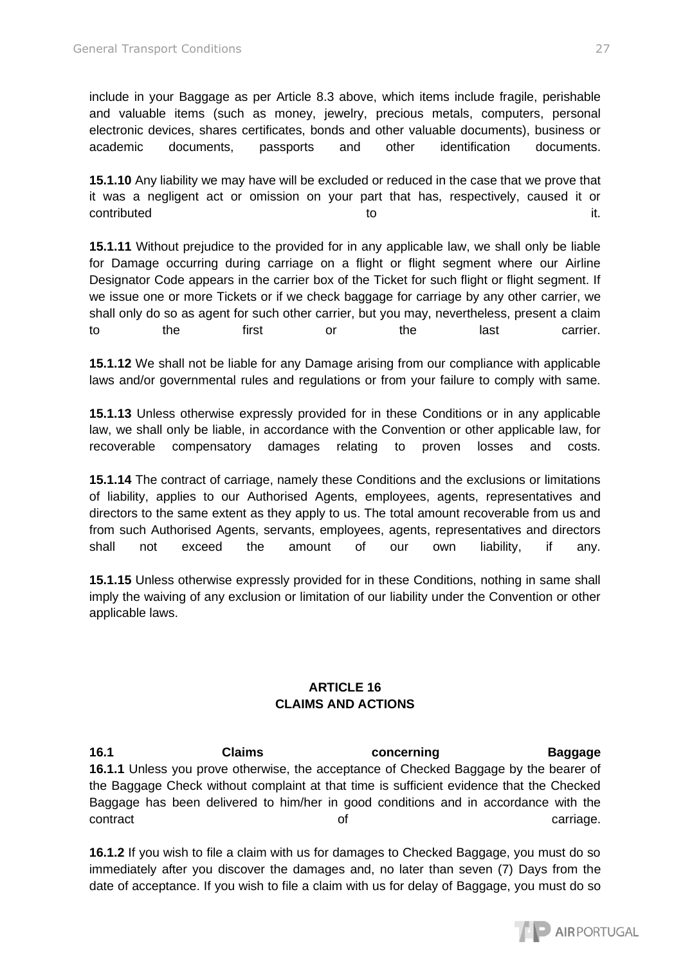include in your Baggage as per Article 8.3 above, which items include fragile, perishable and valuable items (such as money, jewelry, precious metals, computers, personal electronic devices, shares certificates, bonds and other valuable documents), business or academic documents, passports and other identification documents.

**15.1.10** Any liability we may have will be excluded or reduced in the case that we prove that it was a negligent act or omission on your part that has, respectively, caused it or contributed to to the internal contributed to the internal contributed it.

**15.1.11** Without prejudice to the provided for in any applicable law, we shall only be liable for Damage occurring during carriage on a flight or flight segment where our Airline Designator Code appears in the carrier box of the Ticket for such flight or flight segment. If we issue one or more Tickets or if we check baggage for carriage by any other carrier, we shall only do so as agent for such other carrier, but you may, nevertheless, present a claim to the first or the last carrier.

**15.1.12** We shall not be liable for any Damage arising from our compliance with applicable laws and/or governmental rules and regulations or from your failure to comply with same.

**15.1.13** Unless otherwise expressly provided for in these Conditions or in any applicable law, we shall only be liable, in accordance with the Convention or other applicable law, for recoverable compensatory damages relating to proven losses and costs.

**15.1.14** The contract of carriage, namely these Conditions and the exclusions or limitations of liability, applies to our Authorised Agents, employees, agents, representatives and directors to the same extent as they apply to us. The total amount recoverable from us and from such Authorised Agents, servants, employees, agents, representatives and directors shall not exceed the amount of our own liability, if any.

**15.1.15** Unless otherwise expressly provided for in these Conditions, nothing in same shall imply the waiving of any exclusion or limitation of our liability under the Convention or other applicable laws.

# **ARTICLE 16 CLAIMS AND ACTIONS**

**16.1 Claims concerning Baggage 16.1.1** Unless you prove otherwise, the acceptance of Checked Baggage by the bearer of the Baggage Check without complaint at that time is sufficient evidence that the Checked Baggage has been delivered to him/her in good conditions and in accordance with the contract contract contract contract contract contract contract contract contract contract contract contract contract contract contract contract contract contract contract contract contract contract contract contract contra

**16.1.2** If you wish to file a claim with us for damages to Checked Baggage, you must do so immediately after you discover the damages and, no later than seven (7) Days from the date of acceptance. If you wish to file a claim with us for delay of Baggage, you must do so

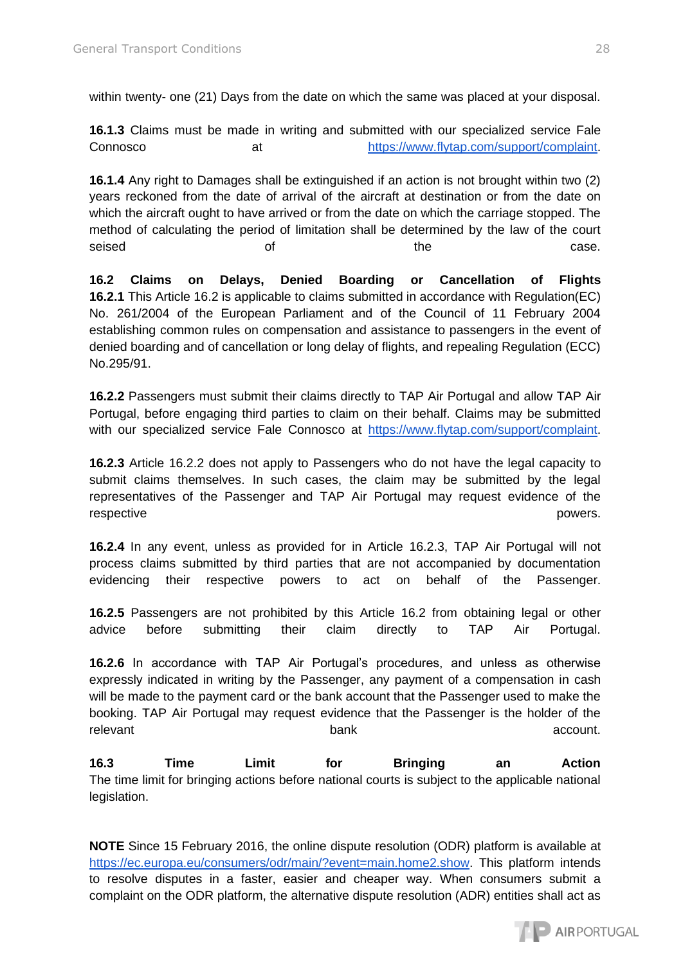within twenty- one (21) Days from the date on which the same was placed at your disposal.

**16.1.3** Claims must be made in writing and submitted with our specialized service Fale Connosco at [https://www.flytap.com/support/complaint.](https://www.flytap.com/support/complaint)

**16.1.4** Any right to Damages shall be extinguished if an action is not brought within two (2) years reckoned from the date of arrival of the aircraft at destination or from the date on which the aircraft ought to have arrived or from the date on which the carriage stopped. The method of calculating the period of limitation shall be determined by the law of the court seised of of the the case.

**16.2 Claims on Delays, Denied Boarding or Cancellation of Flights 16.2.1** This Article 16.2 is applicable to claims submitted in accordance with Regulation(EC) No. 261/2004 of the European Parliament and of the Council of 11 February 2004 establishing common rules on compensation and assistance to passengers in the event of denied boarding and of cancellation or long delay of flights, and repealing Regulation (ECC) No.295/91.

**16.2.2** Passengers must submit their claims directly to TAP Air Portugal and allow TAP Air Portugal, before engaging third parties to claim on their behalf. Claims may be submitted with our specialized service Fale Connosco at [https://www.flytap.com/support/complaint.](https://www.flytap.com/support/complaint)

**16.2.3** Article 16.2.2 does not apply to Passengers who do not have the legal capacity to submit claims themselves. In such cases, the claim may be submitted by the legal representatives of the Passenger and TAP Air Portugal may request evidence of the respective powers.

**16.2.4** In any event, unless as provided for in Article 16.2.3, TAP Air Portugal will not process claims submitted by third parties that are not accompanied by documentation evidencing their respective powers to act on behalf of the Passenger.

**16.2.5** Passengers are not prohibited by this Article 16.2 from obtaining legal or other advice before submitting their claim directly to TAP Air Portugal.

**16.2.6** In accordance with TAP Air Portugal's procedures, and unless as otherwise expressly indicated in writing by the Passenger, any payment of a compensation in cash will be made to the payment card or the bank account that the Passenger used to make the booking. TAP Air Portugal may request evidence that the Passenger is the holder of the relevant account.

**16.3 Time Limit for Bringing an Action**  The time limit for bringing actions before national courts is subject to the applicable national legislation.

**NOTE** Since 15 February 2016, the online dispute resolution (ODR) platform is available at [https://ec.europa.eu/consumers/odr/main/?event=main.home2.show.](https://ec.europa.eu/consumers/odr/main/?event=main.home2.show) This platform intends to resolve disputes in a faster, easier and cheaper way. When consumers submit a complaint on the ODR platform, the alternative dispute resolution (ADR) entities shall act as

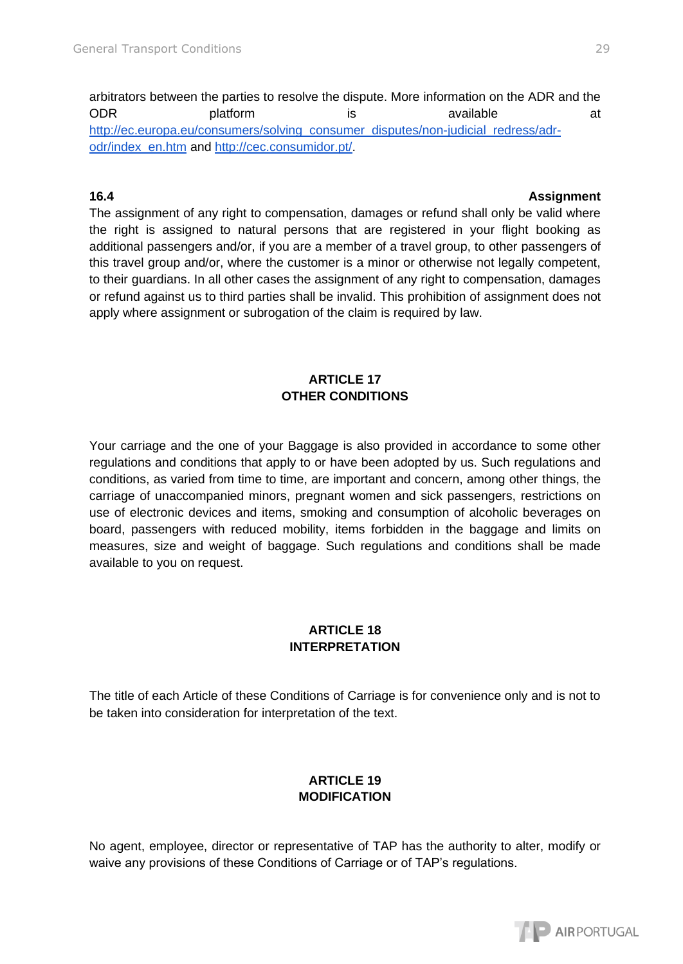arbitrators between the parties to resolve the dispute. More information on the ADR and the ODR platform is available at at [http://ec.europa.eu/consumers/solving\\_consumer\\_disputes/non-judicial\\_redress/adr](http://ec.europa.eu/consumers/solving_consumer_disputes/non-judicial_redress/adr-)[odr/index\\_en.htm](http://ec.europa.eu/consumers/solving_consumer_disputes/non-judicial_redress/adr-) and [http://cec.consumidor.pt/.](http://cec.consumidor.pt/)

### **16.4 Assignment**

The assignment of any right to compensation, damages or refund shall only be valid where the right is assigned to natural persons that are registered in your flight booking as additional passengers and/or, if you are a member of a travel group, to other passengers of this travel group and/or, where the customer is a minor or otherwise not legally competent, to their guardians. In all other cases the assignment of any right to compensation, damages or refund against us to third parties shall be invalid. This prohibition of assignment does not apply where assignment or subrogation of the claim is required by law.

# **ARTICLE 17 OTHER CONDITIONS**

Your carriage and the one of your Baggage is also provided in accordance to some other regulations and conditions that apply to or have been adopted by us. Such regulations and conditions, as varied from time to time, are important and concern, among other things, the carriage of unaccompanied minors, pregnant women and sick passengers, restrictions on use of electronic devices and items, smoking and consumption of alcoholic beverages on board, passengers with reduced mobility, items forbidden in the baggage and limits on measures, size and weight of baggage. Such regulations and conditions shall be made available to you on request.

# **ARTICLE 18 INTERPRETATION**

The title of each Article of these Conditions of Carriage is for convenience only and is not to be taken into consideration for interpretation of the text.

# **ARTICLE 19 MODIFICATION**

No agent, employee, director or representative of TAP has the authority to alter, modify or waive any provisions of these Conditions of Carriage or of TAP's regulations.